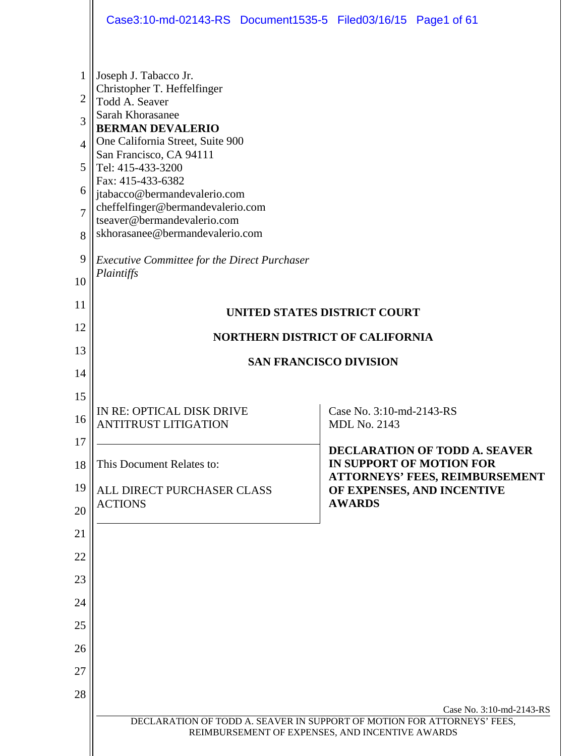|                                                        | Case3:10-md-02143-RS Document1535-5 Filed03/16/15 Page1 of 61                                                                                                                                                                                                                                                                                                                                                                              |  |  |  |  |  |  |
|--------------------------------------------------------|--------------------------------------------------------------------------------------------------------------------------------------------------------------------------------------------------------------------------------------------------------------------------------------------------------------------------------------------------------------------------------------------------------------------------------------------|--|--|--|--|--|--|
| 1<br>2<br>3<br>4<br>5<br>6<br>$\overline{7}$<br>8<br>9 | Joseph J. Tabacco Jr.<br>Christopher T. Heffelfinger<br>Todd A. Seaver<br>Sarah Khorasanee<br><b>BERMAN DEVALERIO</b><br>One California Street, Suite 900<br>San Francisco, CA 94111<br>Tel: 415-433-3200<br>Fax: 415-433-6382<br>jtabacco@bermandevalerio.com<br>cheffelfinger@bermandevalerio.com<br>tseaver@bermandevalerio.com<br>skhorasanee@bermandevalerio.com<br><b>Executive Committee for the Direct Purchaser</b><br>Plaintiffs |  |  |  |  |  |  |
| 10<br>11                                               |                                                                                                                                                                                                                                                                                                                                                                                                                                            |  |  |  |  |  |  |
| 12                                                     | <b>UNITED STATES DISTRICT COURT</b>                                                                                                                                                                                                                                                                                                                                                                                                        |  |  |  |  |  |  |
| 13                                                     | <b>NORTHERN DISTRICT OF CALIFORNIA</b>                                                                                                                                                                                                                                                                                                                                                                                                     |  |  |  |  |  |  |
| 14                                                     | <b>SAN FRANCISCO DIVISION</b>                                                                                                                                                                                                                                                                                                                                                                                                              |  |  |  |  |  |  |
| 15                                                     |                                                                                                                                                                                                                                                                                                                                                                                                                                            |  |  |  |  |  |  |
| 16                                                     | IN RE: OPTICAL DISK DRIVE<br>Case No. 3:10-md-2143-RS<br><b>ANTITRUST LITIGATION</b><br><b>MDL No. 2143</b>                                                                                                                                                                                                                                                                                                                                |  |  |  |  |  |  |
| 17                                                     | <b>DECLARATION OF TODD A. SEAVER</b>                                                                                                                                                                                                                                                                                                                                                                                                       |  |  |  |  |  |  |
| 18                                                     | IN SUPPORT OF MOTION FOR<br>This Document Relates to:<br>ATTORNEYS' FEES, REIMBURSEMENT                                                                                                                                                                                                                                                                                                                                                    |  |  |  |  |  |  |
| 19<br>20                                               | OF EXPENSES, AND INCENTIVE<br>ALL DIRECT PURCHASER CLASS<br><b>AWARDS</b><br><b>ACTIONS</b>                                                                                                                                                                                                                                                                                                                                                |  |  |  |  |  |  |
| 21                                                     |                                                                                                                                                                                                                                                                                                                                                                                                                                            |  |  |  |  |  |  |
| 22                                                     |                                                                                                                                                                                                                                                                                                                                                                                                                                            |  |  |  |  |  |  |
| 23                                                     |                                                                                                                                                                                                                                                                                                                                                                                                                                            |  |  |  |  |  |  |
| 24                                                     |                                                                                                                                                                                                                                                                                                                                                                                                                                            |  |  |  |  |  |  |
| 25                                                     |                                                                                                                                                                                                                                                                                                                                                                                                                                            |  |  |  |  |  |  |
| 26                                                     |                                                                                                                                                                                                                                                                                                                                                                                                                                            |  |  |  |  |  |  |
| 27                                                     |                                                                                                                                                                                                                                                                                                                                                                                                                                            |  |  |  |  |  |  |
| 28                                                     | Case No. 3:10-md-2143-RS                                                                                                                                                                                                                                                                                                                                                                                                                   |  |  |  |  |  |  |
|                                                        | DECLARATION OF TODD A. SEAVER IN SUPPORT OF MOTION FOR ATTORNEYS' FEES,<br>REIMBURSEMENT OF EXPENSES, AND INCENTIVE AWARDS                                                                                                                                                                                                                                                                                                                 |  |  |  |  |  |  |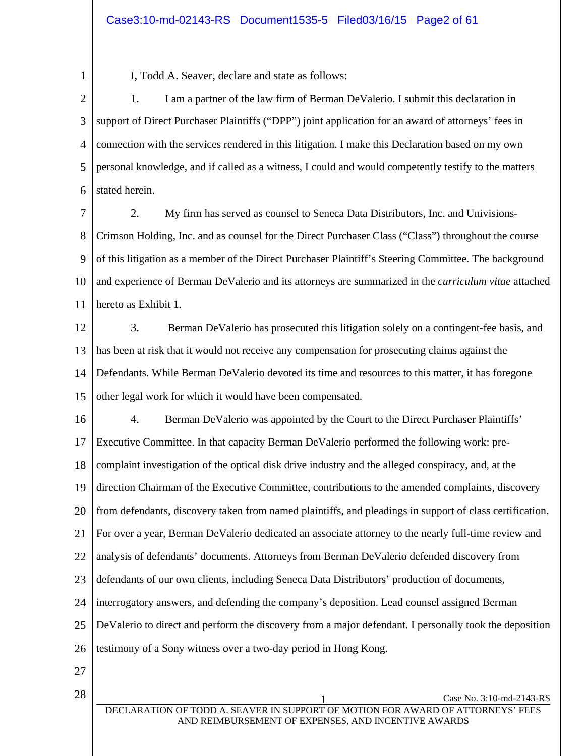## Case3:10-md-02143-RS Document1535-5 Filed03/16/15 Page2 of 61

1

I, Todd A. Seaver, declare and state as follows:

2 3 4 5 6 1. I am a partner of the law firm of Berman DeValerio. I submit this declaration in support of Direct Purchaser Plaintiffs ("DPP") joint application for an award of attorneys' fees in connection with the services rendered in this litigation. I make this Declaration based on my own personal knowledge, and if called as a witness, I could and would competently testify to the matters stated herein.

7 8 9 10 11 2. My firm has served as counsel to Seneca Data Distributors, Inc. and Univisions-Crimson Holding, Inc. and as counsel for the Direct Purchaser Class ("Class") throughout the course of this litigation as a member of the Direct Purchaser Plaintiff's Steering Committee. The background and experience of Berman DeValerio and its attorneys are summarized in the *curriculum vitae* attached hereto as Exhibit 1.

12 13 14 15 3. Berman DeValerio has prosecuted this litigation solely on a contingent-fee basis, and has been at risk that it would not receive any compensation for prosecuting claims against the Defendants. While Berman DeValerio devoted its time and resources to this matter, it has foregone other legal work for which it would have been compensated.

16 17 18 19 20 21 22 23 24 25 26 4. Berman DeValerio was appointed by the Court to the Direct Purchaser Plaintiffs' Executive Committee. In that capacity Berman DeValerio performed the following work: precomplaint investigation of the optical disk drive industry and the alleged conspiracy, and, at the direction Chairman of the Executive Committee, contributions to the amended complaints, discovery from defendants, discovery taken from named plaintiffs, and pleadings in support of class certification. For over a year, Berman DeValerio dedicated an associate attorney to the nearly full-time review and analysis of defendants' documents. Attorneys from Berman DeValerio defended discovery from defendants of our own clients, including Seneca Data Distributors' production of documents, interrogatory answers, and defending the company's deposition. Lead counsel assigned Berman DeValerio to direct and perform the discovery from a major defendant. I personally took the deposition testimony of a Sony witness over a two-day period in Hong Kong.

- 27
-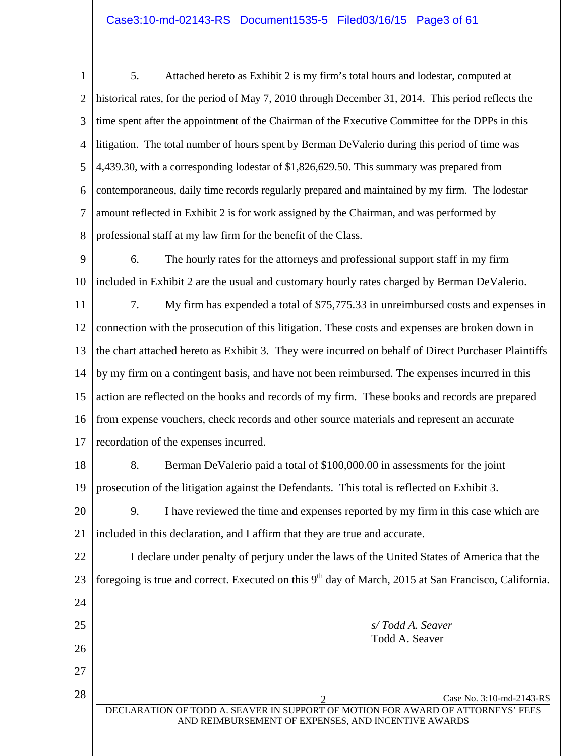1 2 3 4 5 6 7 8 5. Attached hereto as Exhibit 2 is my firm's total hours and lodestar, computed at historical rates, for the period of May 7, 2010 through December 31, 2014. This period reflects the time spent after the appointment of the Chairman of the Executive Committee for the DPPs in this litigation. The total number of hours spent by Berman DeValerio during this period of time was 4,439.30, with a corresponding lodestar of \$1,826,629.50. This summary was prepared from contemporaneous, daily time records regularly prepared and maintained by my firm. The lodestar amount reflected in Exhibit 2 is for work assigned by the Chairman, and was performed by professional staff at my law firm for the benefit of the Class.

9 10 6. The hourly rates for the attorneys and professional support staff in my firm included in Exhibit 2 are the usual and customary hourly rates charged by Berman DeValerio.

11 12 13 14 15 16 17 7. My firm has expended a total of \$75,775.33 in unreimbursed costs and expenses in connection with the prosecution of this litigation. These costs and expenses are broken down in the chart attached hereto as Exhibit 3. They were incurred on behalf of Direct Purchaser Plaintiffs by my firm on a contingent basis, and have not been reimbursed. The expenses incurred in this action are reflected on the books and records of my firm. These books and records are prepared from expense vouchers, check records and other source materials and represent an accurate recordation of the expenses incurred.

18 19 8. Berman DeValerio paid a total of \$100,000.00 in assessments for the joint prosecution of the litigation against the Defendants. This total is reflected on Exhibit 3.

20 21 9. I have reviewed the time and expenses reported by my firm in this case which are included in this declaration, and I affirm that they are true and accurate.

22 23 24 25 26 I declare under penalty of perjury under the laws of the United States of America that the foregoing is true and correct. Executed on this  $9<sup>th</sup>$  day of March, 2015 at San Francisco, California.  *s/ Todd A. Seaver*  Todd A. Seaver

27

 $28 \parallel$  Case No. 3:10-md-2143-RS DECLARATION OF TODD A. SEAVER IN SUPPORT OF MOTION FOR AWARD OF ATTORNEYS' FEES AND REIMBURSEMENT OF EXPENSES, AND INCENTIVE AWARDS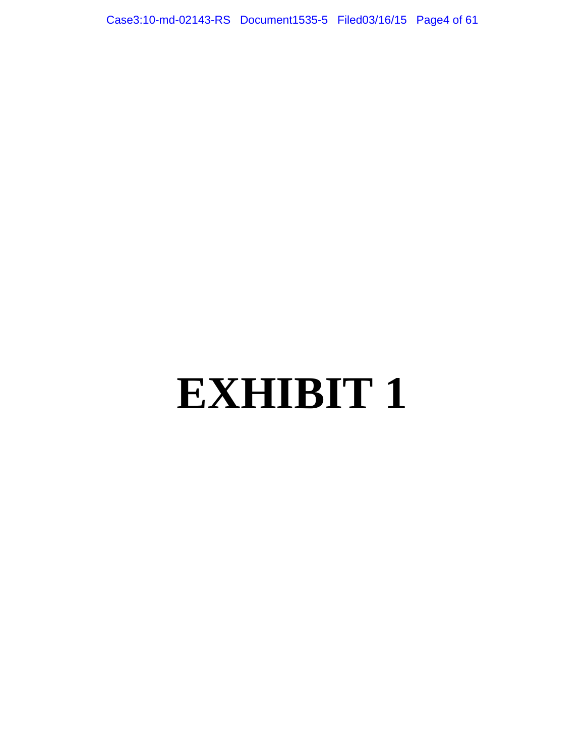Case3:10-md-02143-RS Document1535-5 Filed03/16/15 Page4 of 61

# **EXHIBIT 1**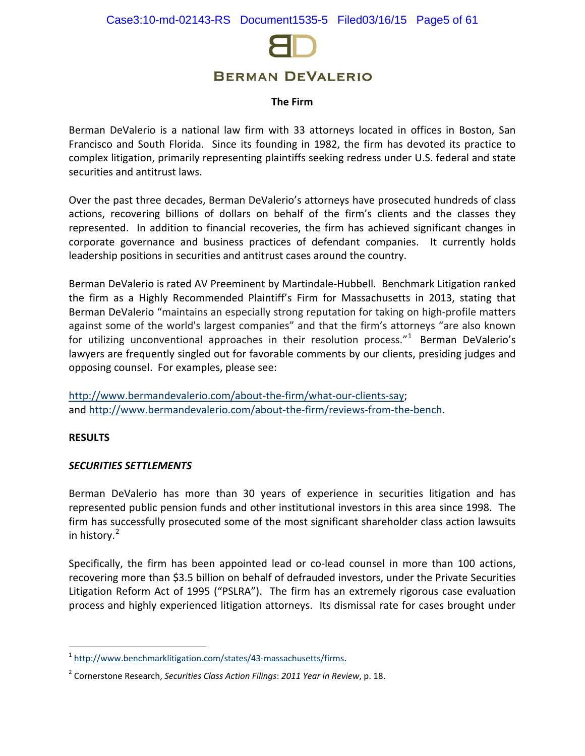

#### **The Firm**

Berman DeValerio is a national law firm with 33 attorneys located in offices in Boston, San Francisco and South Florida. Since its founding in 1982, the firm has devoted its practice to complex litigation, primarily representing plaintiffs seeking redress under U.S. federal and state securities and antitrust laws.

Over the past three decades, Berman DeValerio's attorneys have prosecuted hundreds of class actions, recovering billions of dollars on behalf of the firm's clients and the classes they represented. In addition to financial recoveries, the firm has achieved significant changes in corporate governance and business practices of defendant companies. It currently holds leadership positions in securities and antitrust cases around the country.

Berman DeValerio is rated AV Preeminent by Martindale-Hubbell. Benchmark Litigation ranked the firm as a Highly Recommended Plaintiff's Firm for Massachusetts in 2013, stating that Berman DeValerio "maintains an especially strong reputation for taking on high-profile matters against some of the world's largest companies" and that the firm's attorneys "are also known for utilizing unconventional approaches in their resolution process."<sup>[1](#page-4-0)</sup> Berman DeValerio's lawyers are frequently singled out for favorable comments by our clients, presiding judges and opposing counsel. For examples, please see:

[http://www.bermandevalerio.com/about-the-firm/what-our-clients-say;](http://www.bermandevalerio.com/about-the-firm/what-our-clients-say) and [http://www.bermandevalerio.com/about-the-firm/reviews-from-the-bench.](http://www.bermandevalerio.com/about-the-firm/reviews-from-the-bench)

#### **RESULTS**

 $\overline{a}$ 

#### *SECURITIES SETTLEMENTS*

Berman DeValerio has more than 30 years of experience in securities litigation and has represented public pension funds and other institutional investors in this area since 1998. The firm has successfully prosecuted some of the most significant shareholder class action lawsuits in history.<sup>[2](#page-4-1)</sup>

Specifically, the firm has been appointed lead or co-lead counsel in more than 100 actions, recovering more than \$3.5 billion on behalf of defrauded investors, under the Private Securities Litigation Reform Act of 1995 ("PSLRA"). The firm has an extremely rigorous case evaluation process and highly experienced litigation attorneys. Its dismissal rate for cases brought under

<span id="page-4-0"></span><sup>&</sup>lt;sup>1</sup> [http://www.benchmarklitigation.com/states/43-massachusetts/firms.](http://www.benchmarklitigation.com/states/43-massachusetts/firms)

<span id="page-4-1"></span><sup>2</sup> Cornerstone Research, *Securities Class Action Filings*: *2011 Year in Review*, p. 18.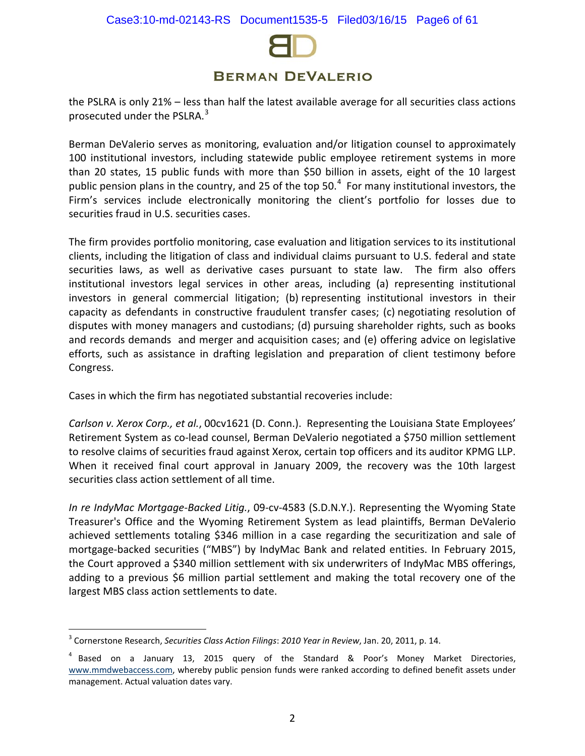

the PSLRA is only 21% – less than half the latest available average for all securities class actions prosecuted under the PSLRA.<sup>[3](#page-5-0)</sup>

Berman DeValerio serves as monitoring, evaluation and/or litigation counsel to approximately 100 institutional investors, including statewide public employee retirement systems in more than 20 states, 15 public funds with more than \$50 billion in assets, eight of the 10 largest public pension plans in the country, and 25 of the top 50.<sup>[4](#page-5-1)</sup> For many institutional investors, the Firm's services include electronically monitoring the client's portfolio for losses due to securities fraud in U.S. securities cases.

The firm provides portfolio monitoring, case evaluation and litigation services to its institutional clients, including the litigation of class and individual claims pursuant to U.S. federal and state securities laws, as well as derivative cases pursuant to state law. The firm also offers institutional investors legal services in other areas, including (a) representing institutional investors in general commercial litigation; (b) representing institutional investors in their capacity as defendants in constructive fraudulent transfer cases; (c) negotiating resolution of disputes with money managers and custodians; (d) pursuing shareholder rights, such as books and records demands and merger and acquisition cases; and (e) offering advice on legislative efforts, such as assistance in drafting legislation and preparation of client testimony before Congress.

Cases in which the firm has negotiated substantial recoveries include:

*Carlson v. Xerox Corp., et al.*, 00cv1621 (D. Conn.). Representing the Louisiana State Employees' Retirement System as co-lead counsel, Berman DeValerio negotiated a \$750 million settlement to resolve claims of securities fraud against Xerox, certain top officers and its auditor KPMG LLP. When it received final court approval in January 2009, the recovery was the 10th largest securities class action settlement of all time.

*In re IndyMac Mortgage-Backed Litig.*, 09-cv-4583 (S.D.N.Y.). Representing the Wyoming State Treasurer's Office and the Wyoming Retirement System as lead plaintiffs, Berman DeValerio achieved settlements totaling \$346 million in a case regarding the securitization and sale of mortgage-backed securities ("MBS") by IndyMac Bank and related entities. In February 2015, the Court approved a \$340 million settlement with six underwriters of IndyMac MBS offerings, adding to a previous \$6 million partial settlement and making the total recovery one of the largest MBS class action settlements to date.

 $\overline{a}$ 

<span id="page-5-0"></span><sup>3</sup> Cornerstone Research, *Securities Class Action Filings*: *2010 Year in Review*, Jan. 20, 2011, p. 14.

<span id="page-5-1"></span> $4$  Based on a January 13, 2015 query of the Standard & Poor's Money Market Directories, [www.mmdwebaccess.com,](http://www.mmdwebaccess.com/) whereby public pension funds were ranked according to defined benefit assets under management. Actual valuation dates vary.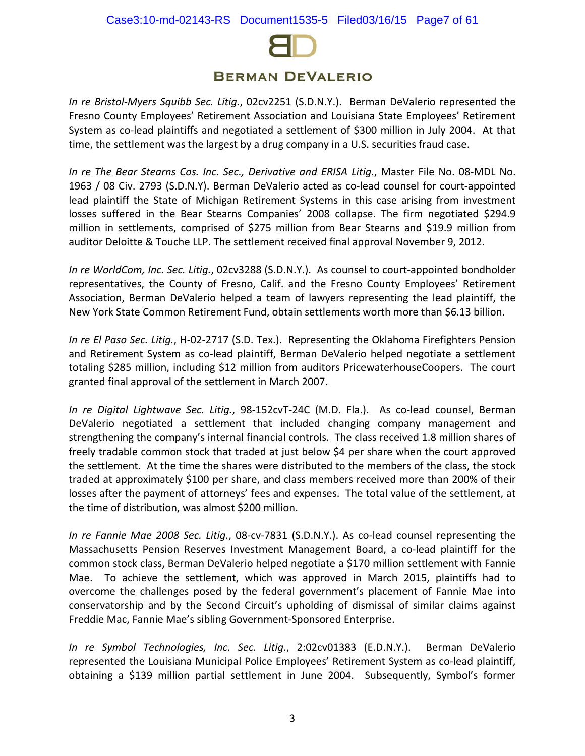

*In re Bristol-Myers Squibb Sec. Litig.*, 02cv2251 (S.D.N.Y.). Berman DeValerio represented the Fresno County Employees' Retirement Association and Louisiana State Employees' Retirement System as co-lead plaintiffs and negotiated a settlement of \$300 million in July 2004. At that time, the settlement was the largest by a drug company in a U.S. securities fraud case.

*In re The Bear Stearns Cos. Inc. Sec., Derivative and ERISA Litig.*, Master File No. 08-MDL No. 1963 / 08 Civ. 2793 (S.D.N.Y). Berman DeValerio acted as co-lead counsel for court-appointed lead plaintiff the State of Michigan Retirement Systems in this case arising from investment losses suffered in the Bear Stearns Companies' 2008 collapse. The firm negotiated \$294.9 million in settlements, comprised of \$275 million from Bear Stearns and \$19.9 million from auditor Deloitte & Touche LLP. The settlement received final approval November 9, 2012.

*In re WorldCom, Inc. Sec. Litig.*, 02cv3288 (S.D.N.Y.). As counsel to court-appointed bondholder representatives, the County of Fresno, Calif. and the Fresno County Employees' Retirement Association, Berman DeValerio helped a team of lawyers representing the lead plaintiff, the New York State Common Retirement Fund, obtain settlements worth more than \$6.13 billion.

*In re El Paso Sec. Litig.*, H-02-2717 (S.D. Tex.). Representing the Oklahoma Firefighters Pension and Retirement System as co-lead plaintiff, Berman DeValerio helped negotiate a settlement totaling \$285 million, including \$12 million from auditors PricewaterhouseCoopers. The court granted final approval of the settlement in March 2007.

*In re Digital Lightwave Sec. Litig.*, 98-152cvT-24C (M.D. Fla.). As co-lead counsel, Berman DeValerio negotiated a settlement that included changing company management and strengthening the company's internal financial controls. The class received 1.8 million shares of freely tradable common stock that traded at just below \$4 per share when the court approved the settlement. At the time the shares were distributed to the members of the class, the stock traded at approximately \$100 per share, and class members received more than 200% of their losses after the payment of attorneys' fees and expenses. The total value of the settlement, at the time of distribution, was almost \$200 million.

*In re Fannie Mae 2008 Sec. Litig.*, 08-cv-7831 (S.D.N.Y.). As co-lead counsel representing the Massachusetts Pension Reserves Investment Management Board, a co-lead plaintiff for the common stock class, Berman DeValerio helped negotiate a \$170 million settlement with Fannie Mae. To achieve the settlement, which was approved in March 2015, plaintiffs had to overcome the challenges posed by the federal government's placement of Fannie Mae into conservatorship and by the Second Circuit's upholding of dismissal of similar claims against Freddie Mac, Fannie Mae's sibling Government-Sponsored Enterprise.

*In re Symbol Technologies, Inc. Sec. Litig.*, 2:02cv01383 (E.D.N.Y.). Berman DeValerio represented the Louisiana Municipal Police Employees' Retirement System as co-lead plaintiff, obtaining a \$139 million partial settlement in June 2004. Subsequently, Symbol's former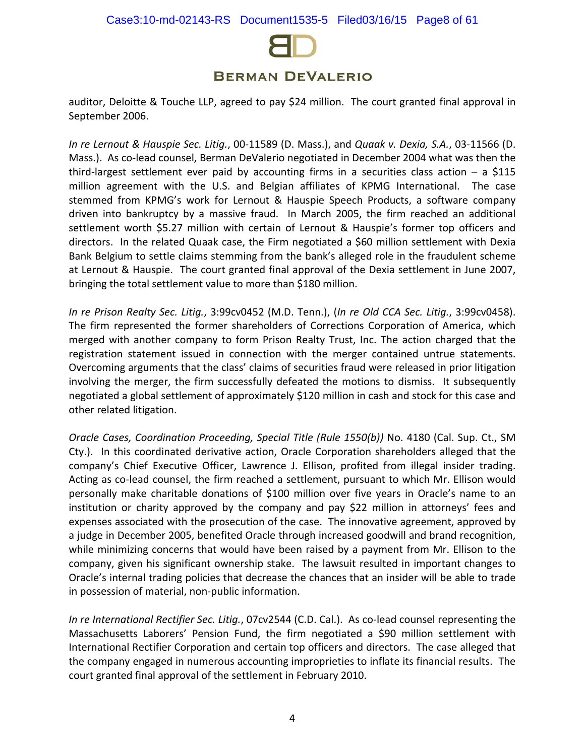

auditor, Deloitte & Touche LLP, agreed to pay \$24 million. The court granted final approval in September 2006.

*In re Lernout & Hauspie Sec. Litig.*, 00-11589 (D. Mass.), and *Quaak v. Dexia, S.A.*, 03-11566 (D. Mass.). As co-lead counsel, Berman DeValerio negotiated in December 2004 what was then the third-largest settlement ever paid by accounting firms in a securities class action  $-$  a \$115 million agreement with the U.S. and Belgian affiliates of KPMG International. The case stemmed from KPMG's work for Lernout & Hauspie Speech Products, a software company driven into bankruptcy by a massive fraud. In March 2005, the firm reached an additional settlement worth \$5.27 million with certain of Lernout & Hauspie's former top officers and directors. In the related Quaak case, the Firm negotiated a \$60 million settlement with Dexia Bank Belgium to settle claims stemming from the bank's alleged role in the fraudulent scheme at Lernout & Hauspie. The court granted final approval of the Dexia settlement in June 2007, bringing the total settlement value to more than \$180 million.

*In re Prison Realty Sec. Litig.*, 3:99cv0452 (M.D. Tenn.), (*In re Old CCA Sec. Litig.*, 3:99cv0458). The firm represented the former shareholders of Corrections Corporation of America, which merged with another company to form Prison Realty Trust, Inc. The action charged that the registration statement issued in connection with the merger contained untrue statements. Overcoming arguments that the class' claims of securities fraud were released in prior litigation involving the merger, the firm successfully defeated the motions to dismiss. It subsequently negotiated a global settlement of approximately \$120 million in cash and stock for this case and other related litigation.

*Oracle Cases, Coordination Proceeding, Special Title (Rule 1550(b))* No. 4180 (Cal. Sup. Ct., SM Cty.). In this coordinated derivative action, Oracle Corporation shareholders alleged that the company's Chief Executive Officer, Lawrence J. Ellison, profited from illegal insider trading. Acting as co-lead counsel, the firm reached a settlement, pursuant to which Mr. Ellison would personally make charitable donations of \$100 million over five years in Oracle's name to an institution or charity approved by the company and pay \$22 million in attorneys' fees and expenses associated with the prosecution of the case. The innovative agreement, approved by a judge in December 2005, benefited Oracle through increased goodwill and brand recognition, while minimizing concerns that would have been raised by a payment from Mr. Ellison to the company, given his significant ownership stake. The lawsuit resulted in important changes to Oracle's internal trading policies that decrease the chances that an insider will be able to trade in possession of material, non-public information.

*In re International Rectifier Sec. Litig.*, 07cv2544 (C.D. Cal.). As co-lead counsel representing the Massachusetts Laborers' Pension Fund, the firm negotiated a \$90 million settlement with International Rectifier Corporation and certain top officers and directors. The case alleged that the company engaged in numerous accounting improprieties to inflate its financial results. The court granted final approval of the settlement in February 2010.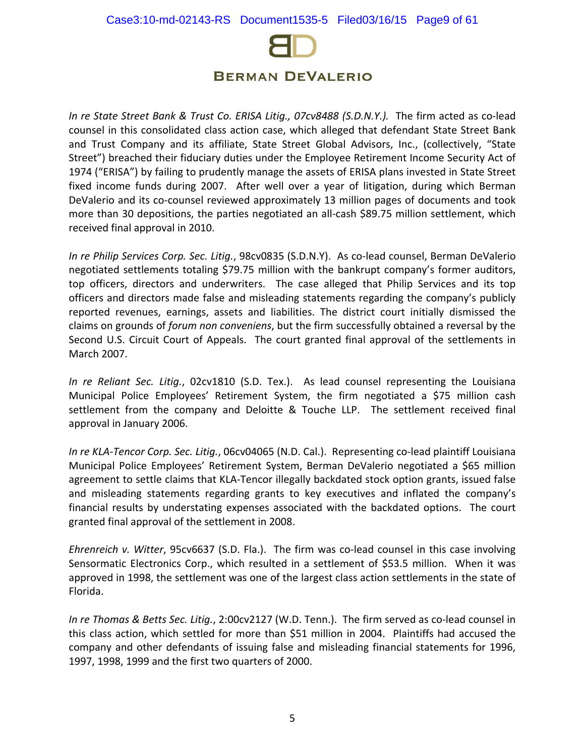

*In re State Street Bank & Trust Co. ERISA Litig., 07cv8488 (S.D.N.Y.).* The firm acted as co-lead counsel in this consolidated class action case, which alleged that defendant State Street Bank and Trust Company and its affiliate, State Street Global Advisors, Inc., (collectively, "State Street") breached their fiduciary duties under the Employee Retirement Income Security Act of 1974 ("ERISA") by failing to prudently manage the assets of ERISA plans invested in State Street fixed income funds during 2007. After well over a year of litigation, during which Berman DeValerio and its co-counsel reviewed approximately 13 million pages of documents and took more than 30 depositions, the parties negotiated an all-cash \$89.75 million settlement, which received final approval in 2010.

*In re Philip Services Corp. Sec. Litig.*, 98cv0835 (S.D.N.Y). As co-lead counsel, Berman DeValerio negotiated settlements totaling \$79.75 million with the bankrupt company's former auditors, top officers, directors and underwriters. The case alleged that Philip Services and its top officers and directors made false and misleading statements regarding the company's publicly reported revenues, earnings, assets and liabilities. The district court initially dismissed the claims on grounds of *forum non conveniens*, but the firm successfully obtained a reversal by the Second U.S. Circuit Court of Appeals. The court granted final approval of the settlements in March 2007.

*In re Reliant Sec. Litig.*, 02cv1810 (S.D. Tex.). As lead counsel representing the Louisiana Municipal Police Employees' Retirement System, the firm negotiated a \$75 million cash settlement from the company and Deloitte & Touche LLP. The settlement received final approval in January 2006.

*In re KLA-Tencor Corp. Sec. Litig.*, 06cv04065 (N.D. Cal.). Representing co-lead plaintiff Louisiana Municipal Police Employees' Retirement System, Berman DeValerio negotiated a \$65 million agreement to settle claims that KLA-Tencor illegally backdated stock option grants, issued false and misleading statements regarding grants to key executives and inflated the company's financial results by understating expenses associated with the backdated options. The court granted final approval of the settlement in 2008.

*Ehrenreich v. Witter*, 95cv6637 (S.D. Fla.). The firm was co-lead counsel in this case involving Sensormatic Electronics Corp., which resulted in a settlement of \$53.5 million. When it was approved in 1998, the settlement was one of the largest class action settlements in the state of Florida.

*In re Thomas & Betts Sec. Litig.*, 2:00cv2127 (W.D. Tenn.). The firm served as co-lead counsel in this class action, which settled for more than \$51 million in 2004. Plaintiffs had accused the company and other defendants of issuing false and misleading financial statements for 1996, 1997, 1998, 1999 and the first two quarters of 2000.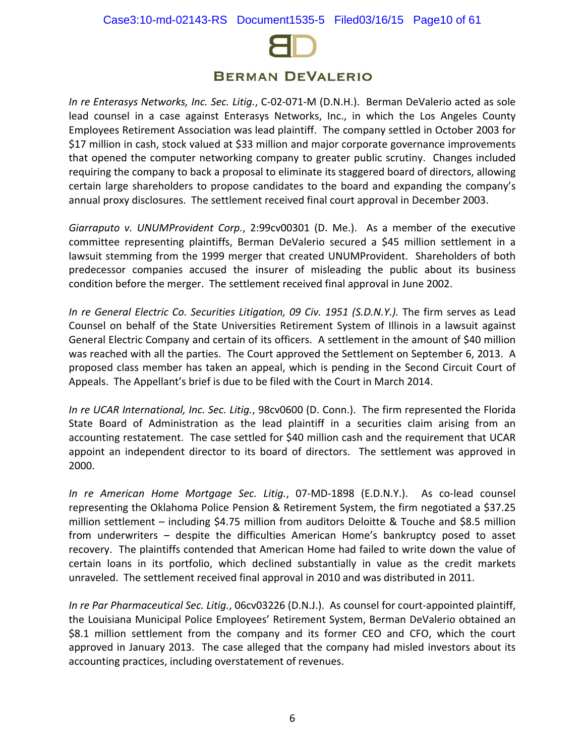

*In re Enterasys Networks, Inc. Sec. Litig.*, C-02-071-M (D.N.H.). Berman DeValerio acted as sole lead counsel in a case against Enterasys Networks, Inc., in which the Los Angeles County Employees Retirement Association was lead plaintiff. The company settled in October 2003 for \$17 million in cash, stock valued at \$33 million and major corporate governance improvements that opened the computer networking company to greater public scrutiny. Changes included requiring the company to back a proposal to eliminate its staggered board of directors, allowing certain large shareholders to propose candidates to the board and expanding the company's annual proxy disclosures. The settlement received final court approval in December 2003.

*Giarraputo v. UNUMProvident Corp.*, 2:99cv00301 (D. Me.). As a member of the executive committee representing plaintiffs, Berman DeValerio secured a \$45 million settlement in a lawsuit stemming from the 1999 merger that created UNUMProvident. Shareholders of both predecessor companies accused the insurer of misleading the public about its business condition before the merger. The settlement received final approval in June 2002.

*In re General Electric Co. Securities Litigation, 09 Civ. 1951 (S.D.N.Y.).* The firm serves as Lead Counsel on behalf of the State Universities Retirement System of Illinois in a lawsuit against General Electric Company and certain of its officers. A settlement in the amount of \$40 million was reached with all the parties. The Court approved the Settlement on September 6, 2013. A proposed class member has taken an appeal, which is pending in the Second Circuit Court of Appeals. The Appellant's brief is due to be filed with the Court in March 2014.

*In re UCAR International, Inc. Sec. Litig.*, 98cv0600 (D. Conn.). The firm represented the Florida State Board of Administration as the lead plaintiff in a securities claim arising from an accounting restatement. The case settled for \$40 million cash and the requirement that UCAR appoint an independent director to its board of directors. The settlement was approved in 2000.

*In re American Home Mortgage Sec. Litig.*, 07-MD-1898 (E.D.N.Y.). As co-lead counsel representing the Oklahoma Police Pension & Retirement System, the firm negotiated a \$37.25 million settlement – including \$4.75 million from auditors Deloitte & Touche and \$8.5 million from underwriters – despite the difficulties American Home's bankruptcy posed to asset recovery. The plaintiffs contended that American Home had failed to write down the value of certain loans in its portfolio, which declined substantially in value as the credit markets unraveled. The settlement received final approval in 2010 and was distributed in 2011.

*In re Par Pharmaceutical Sec. Litig.*, 06cv03226 (D.N.J.). As counsel for court-appointed plaintiff, the Louisiana Municipal Police Employees' Retirement System, Berman DeValerio obtained an \$8.1 million settlement from the company and its former CEO and CFO, which the court approved in January 2013. The case alleged that the company had misled investors about its accounting practices, including overstatement of revenues.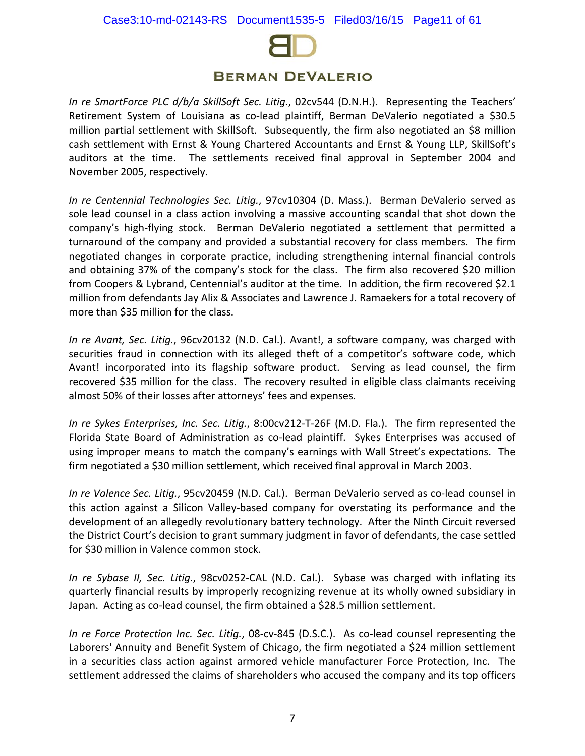

*In re SmartForce PLC d/b/a SkillSoft Sec. Litig.*, 02cv544 (D.N.H.). Representing the Teachers' Retirement System of Louisiana as co-lead plaintiff, Berman DeValerio negotiated a \$30.5 million partial settlement with SkillSoft. Subsequently, the firm also negotiated an \$8 million cash settlement with Ernst & Young Chartered Accountants and Ernst & Young LLP, SkillSoft's auditors at the time. The settlements received final approval in September 2004 and November 2005, respectively.

*In re Centennial Technologies Sec. Litig.*, 97cv10304 (D. Mass.). Berman DeValerio served as sole lead counsel in a class action involving a massive accounting scandal that shot down the company's high-flying stock. Berman DeValerio negotiated a settlement that permitted a turnaround of the company and provided a substantial recovery for class members. The firm negotiated changes in corporate practice, including strengthening internal financial controls and obtaining 37% of the company's stock for the class. The firm also recovered \$20 million from Coopers & Lybrand, Centennial's auditor at the time. In addition, the firm recovered \$2.1 million from defendants Jay Alix & Associates and Lawrence J. Ramaekers for a total recovery of more than \$35 million for the class.

*In re Avant, Sec. Litig.*, 96cv20132 (N.D. Cal.). Avant!, a software company, was charged with securities fraud in connection with its alleged theft of a competitor's software code, which Avant! incorporated into its flagship software product. Serving as lead counsel, the firm recovered \$35 million for the class. The recovery resulted in eligible class claimants receiving almost 50% of their losses after attorneys' fees and expenses.

*In re Sykes Enterprises, Inc. Sec. Litig.*, 8:00cv212-T-26F (M.D. Fla.). The firm represented the Florida State Board of Administration as co-lead plaintiff. Sykes Enterprises was accused of using improper means to match the company's earnings with Wall Street's expectations. The firm negotiated a \$30 million settlement, which received final approval in March 2003.

*In re Valence Sec. Litig.*, 95cv20459 (N.D. Cal.). Berman DeValerio served as co-lead counsel in this action against a Silicon Valley-based company for overstating its performance and the development of an allegedly revolutionary battery technology. After the Ninth Circuit reversed the District Court's decision to grant summary judgment in favor of defendants, the case settled for \$30 million in Valence common stock.

*In re Sybase II, Sec. Litig.*, 98cv0252-CAL (N.D. Cal.). Sybase was charged with inflating its quarterly financial results by improperly recognizing revenue at its wholly owned subsidiary in Japan. Acting as co-lead counsel, the firm obtained a \$28.5 million settlement.

*In re Force Protection Inc. Sec. Litig.*, 08-cv-845 (D.S.C.). As co-lead counsel representing the Laborers' Annuity and Benefit System of Chicago, the firm negotiated a \$24 million settlement in a securities class action against armored vehicle manufacturer Force Protection, Inc. The settlement addressed the claims of shareholders who accused the company and its top officers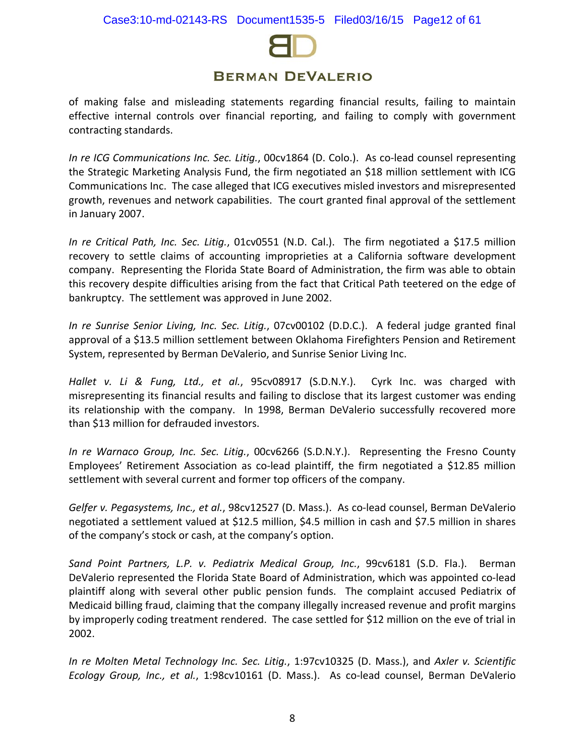

of making false and misleading statements regarding financial results, failing to maintain effective internal controls over financial reporting, and failing to comply with government contracting standards.

*In re ICG Communications Inc. Sec. Litig.*, 00cv1864 (D. Colo.). As co-lead counsel representing the Strategic Marketing Analysis Fund, the firm negotiated an \$18 million settlement with ICG Communications Inc. The case alleged that ICG executives misled investors and misrepresented growth, revenues and network capabilities. The court granted final approval of the settlement in January 2007.

*In re Critical Path, Inc. Sec. Litig.*, 01cv0551 (N.D. Cal.). The firm negotiated a \$17.5 million recovery to settle claims of accounting improprieties at a California software development company. Representing the Florida State Board of Administration, the firm was able to obtain this recovery despite difficulties arising from the fact that Critical Path teetered on the edge of bankruptcy. The settlement was approved in June 2002.

*In re Sunrise Senior Living, Inc. Sec. Litig.*, 07cv00102 (D.D.C.). A federal judge granted final approval of a \$13.5 million settlement between Oklahoma Firefighters Pension and Retirement System, represented by Berman DeValerio, and Sunrise Senior Living Inc.

*Hallet v. Li & Fung, Ltd., et al.*, 95cv08917 (S.D.N.Y.). Cyrk Inc. was charged with misrepresenting its financial results and failing to disclose that its largest customer was ending its relationship with the company. In 1998, Berman DeValerio successfully recovered more than \$13 million for defrauded investors.

*In re Warnaco Group, Inc. Sec. Litig.*, 00cv6266 (S.D.N.Y.). Representing the Fresno County Employees' Retirement Association as co-lead plaintiff, the firm negotiated a \$12.85 million settlement with several current and former top officers of the company.

*Gelfer v. Pegasystems, Inc., et al.*, 98cv12527 (D. Mass.). As co-lead counsel, Berman DeValerio negotiated a settlement valued at \$12.5 million, \$4.5 million in cash and \$7.5 million in shares of the company's stock or cash, at the company's option.

*Sand Point Partners, L.P. v. Pediatrix Medical Group, Inc.*, 99cv6181 (S.D. Fla.). Berman DeValerio represented the Florida State Board of Administration, which was appointed co-lead plaintiff along with several other public pension funds. The complaint accused Pediatrix of Medicaid billing fraud, claiming that the company illegally increased revenue and profit margins by improperly coding treatment rendered. The case settled for \$12 million on the eve of trial in 2002.

*In re Molten Metal Technology Inc. Sec. Litig.*, 1:97cv10325 (D. Mass.), and *Axler v. Scientific Ecology Group, Inc., et al.*, 1:98cv10161 (D. Mass.). As co-lead counsel, Berman DeValerio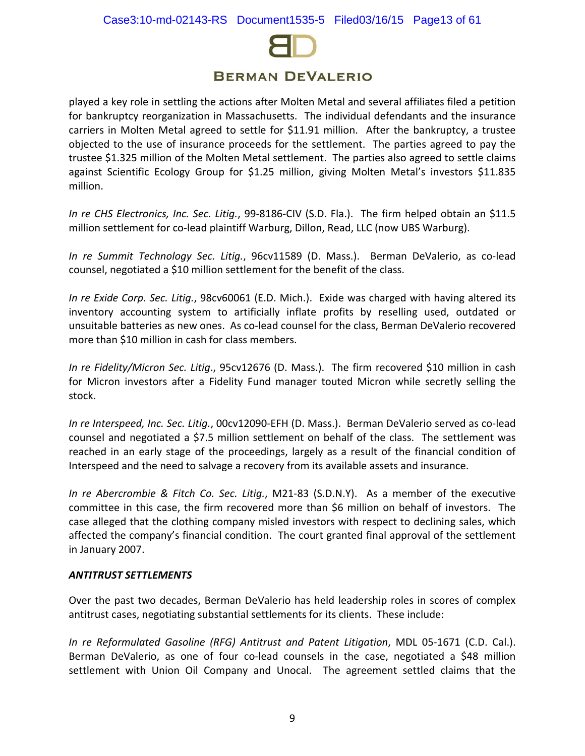

played a key role in settling the actions after Molten Metal and several affiliates filed a petition for bankruptcy reorganization in Massachusetts. The individual defendants and the insurance carriers in Molten Metal agreed to settle for \$11.91 million. After the bankruptcy, a trustee objected to the use of insurance proceeds for the settlement. The parties agreed to pay the trustee \$1.325 million of the Molten Metal settlement. The parties also agreed to settle claims against Scientific Ecology Group for \$1.25 million, giving Molten Metal's investors \$11.835 million.

*In re CHS Electronics, Inc. Sec. Litig.*, 99-8186-CIV (S.D. Fla.). The firm helped obtain an \$11.5 million settlement for co-lead plaintiff Warburg, Dillon, Read, LLC (now UBS Warburg).

*In re Summit Technology Sec. Litig.*, 96cv11589 (D. Mass.). Berman DeValerio, as co-lead counsel, negotiated a \$10 million settlement for the benefit of the class.

*In re Exide Corp. Sec. Litig.*, 98cv60061 (E.D. Mich.). Exide was charged with having altered its inventory accounting system to artificially inflate profits by reselling used, outdated or unsuitable batteries as new ones. As co-lead counsel for the class, Berman DeValerio recovered more than \$10 million in cash for class members.

*In re Fidelity/Micron Sec. Litig*., 95cv12676 (D. Mass.). The firm recovered \$10 million in cash for Micron investors after a Fidelity Fund manager touted Micron while secretly selling the stock.

*In re Interspeed, Inc. Sec. Litig.*, 00cv12090-EFH (D. Mass.). Berman DeValerio served as co-lead counsel and negotiated a \$7.5 million settlement on behalf of the class. The settlement was reached in an early stage of the proceedings, largely as a result of the financial condition of Interspeed and the need to salvage a recovery from its available assets and insurance.

*In re Abercrombie & Fitch Co. Sec. Litig.*, M21-83 (S.D.N.Y). As a member of the executive committee in this case, the firm recovered more than \$6 million on behalf of investors. The case alleged that the clothing company misled investors with respect to declining sales, which affected the company's financial condition. The court granted final approval of the settlement in January 2007.

## *ANTITRUST SETTLEMENTS*

Over the past two decades, Berman DeValerio has held leadership roles in scores of complex antitrust cases, negotiating substantial settlements for its clients. These include:

*In re Reformulated Gasoline (RFG) Antitrust and Patent Litigation*, MDL 05-1671 (C.D. Cal.). Berman DeValerio, as one of four co-lead counsels in the case, negotiated a \$48 million settlement with Union Oil Company and Unocal. The agreement settled claims that the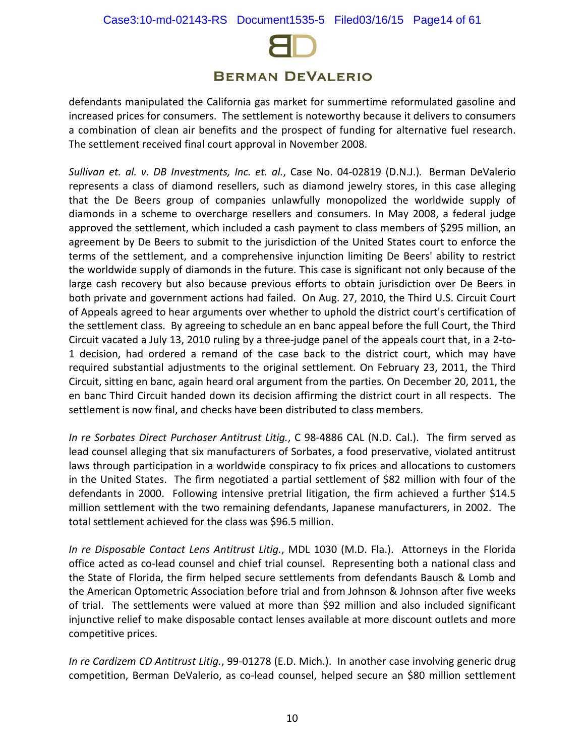

defendants manipulated the California gas market for summertime reformulated gasoline and increased prices for consumers. The settlement is noteworthy because it delivers to consumers a combination of clean air benefits and the prospect of funding for alternative fuel research. The settlement received final court approval in November 2008.

*Sullivan et. al. v. DB Investments, Inc. et. al.*, Case No. 04-02819 (D.N.J.)*.* Berman DeValerio represents a class of diamond resellers, such as diamond jewelry stores, in this case alleging that the De Beers group of companies unlawfully monopolized the worldwide supply of diamonds in a scheme to overcharge resellers and consumers. In May 2008, a federal judge approved the settlement, which included a cash payment to class members of \$295 million, an agreement by De Beers to submit to the jurisdiction of the United States court to enforce the terms of the settlement, and a comprehensive injunction limiting De Beers' ability to restrict the worldwide supply of diamonds in the future. This case is significant not only because of the large cash recovery but also because previous efforts to obtain jurisdiction over De Beers in both private and government actions had failed. On Aug. 27, 2010, the Third U.S. Circuit Court of Appeals agreed to hear arguments over whether to uphold the district court's certification of the settlement class. By agreeing to schedule an en banc appeal before the full Court, the Third Circuit vacated a July 13, 2010 ruling by a three-judge panel of the appeals court that, in a 2-to-1 decision, had ordered a remand of the case back to the district court, which may have required substantial adjustments to the original settlement. On February 23, 2011, the Third Circuit, sitting en banc, again heard oral argument from the parties. On December 20, 2011, the en banc Third Circuit handed down its decision affirming the district court in all respects. The settlement is now final, and checks have been distributed to class members.

*In re Sorbates Direct Purchaser Antitrust Litig.*, C 98-4886 CAL (N.D. Cal.). The firm served as lead counsel alleging that six manufacturers of Sorbates, a food preservative, violated antitrust laws through participation in a worldwide conspiracy to fix prices and allocations to customers in the United States. The firm negotiated a partial settlement of \$82 million with four of the defendants in 2000. Following intensive pretrial litigation, the firm achieved a further \$14.5 million settlement with the two remaining defendants, Japanese manufacturers, in 2002. The total settlement achieved for the class was \$96.5 million.

*In re Disposable Contact Lens Antitrust Litig.*, MDL 1030 (M.D. Fla.). Attorneys in the Florida office acted as co-lead counsel and chief trial counsel. Representing both a national class and the State of Florida, the firm helped secure settlements from defendants Bausch & Lomb and the American Optometric Association before trial and from Johnson & Johnson after five weeks of trial. The settlements were valued at more than \$92 million and also included significant injunctive relief to make disposable contact lenses available at more discount outlets and more competitive prices.

*In re Cardizem CD Antitrust Litig.*, 99-01278 (E.D. Mich.). In another case involving generic drug competition, Berman DeValerio, as co-lead counsel, helped secure an \$80 million settlement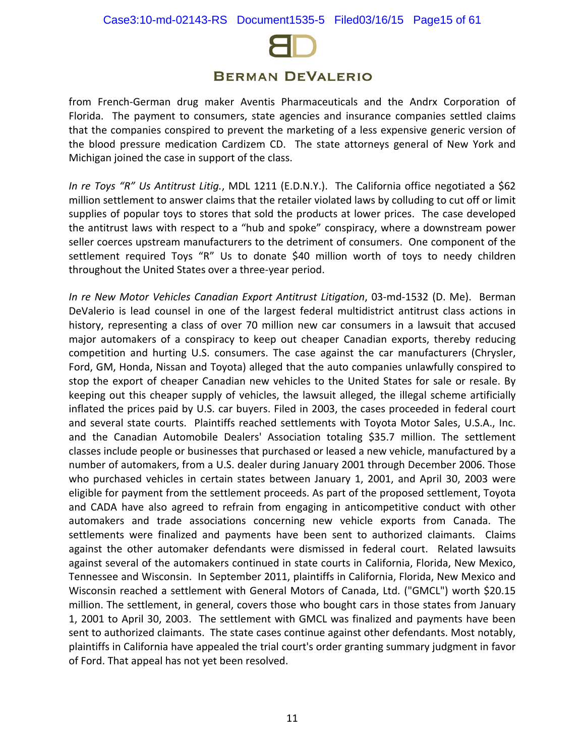

from French-German drug maker Aventis Pharmaceuticals and the Andrx Corporation of Florida. The payment to consumers, state agencies and insurance companies settled claims that the companies conspired to prevent the marketing of a less expensive generic version of the blood pressure medication Cardizem CD. The state attorneys general of New York and Michigan joined the case in support of the class.

*In re Toys "R" Us Antitrust Litig.*, MDL 1211 (E.D.N.Y.). The California office negotiated a \$62 million settlement to answer claims that the retailer violated laws by colluding to cut off or limit supplies of popular toys to stores that sold the products at lower prices. The case developed the antitrust laws with respect to a "hub and spoke" conspiracy, where a downstream power seller coerces upstream manufacturers to the detriment of consumers. One component of the settlement required Toys "R" Us to donate \$40 million worth of toys to needy children throughout the United States over a three-year period.

*In re New Motor Vehicles Canadian Export Antitrust Litigation*, 03-md-1532 (D. Me). Berman DeValerio is lead counsel in one of the largest federal multidistrict antitrust class actions in history, representing a class of over 70 million new car consumers in a lawsuit that accused major automakers of a conspiracy to keep out cheaper Canadian exports, thereby reducing competition and hurting U.S. consumers. The case against the car manufacturers (Chrysler, Ford, GM, Honda, Nissan and Toyota) alleged that the auto companies unlawfully conspired to stop the export of cheaper Canadian new vehicles to the United States for sale or resale. By keeping out this cheaper supply of vehicles, the lawsuit alleged, the illegal scheme artificially inflated the prices paid by U.S. car buyers. Filed in 2003, the cases proceeded in federal court and several state courts. Plaintiffs reached settlements with Toyota Motor Sales, U.S.A., Inc. and the Canadian Automobile Dealers' Association totaling \$35.7 million. The settlement classes include people or businesses that purchased or leased a new vehicle, manufactured by a number of automakers, from a U.S. dealer during January 2001 through December 2006. Those who purchased vehicles in certain states between January 1, 2001, and April 30, 2003 were eligible for payment from the settlement proceeds. As part of the proposed settlement, Toyota and CADA have also agreed to refrain from engaging in anticompetitive conduct with other automakers and trade associations concerning new vehicle exports from Canada. The settlements were finalized and payments have been sent to authorized claimants. Claims against the other automaker defendants were dismissed in federal court. Related lawsuits against several of the automakers continued in state courts in California, Florida, New Mexico, Tennessee and Wisconsin. In September 2011, plaintiffs in California, Florida, New Mexico and Wisconsin reached a settlement with General Motors of Canada, Ltd. ("GMCL") worth \$20.15 million. The settlement, in general, covers those who bought cars in those states from January 1, 2001 to April 30, 2003. The settlement with GMCL was finalized and payments have been sent to authorized claimants. The state cases continue against other defendants. Most notably, plaintiffs in California have appealed the trial court's order granting summary judgment in favor of Ford. That appeal has not yet been resolved.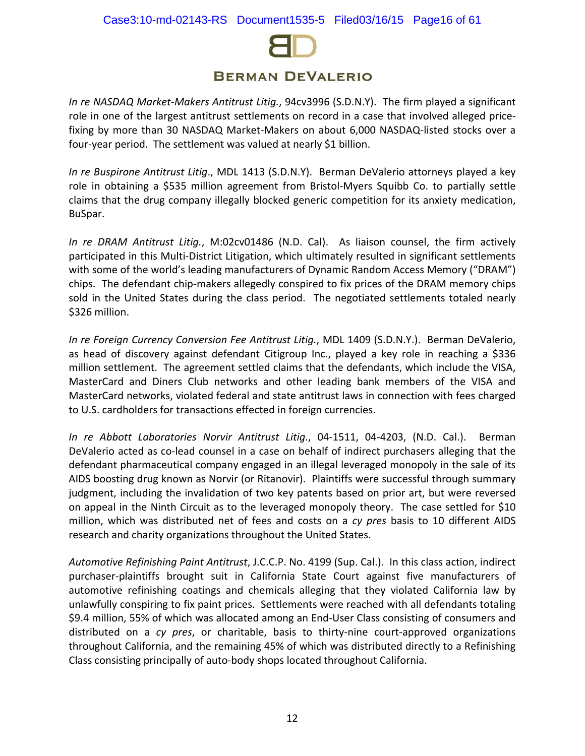

*In re NASDAQ Market-Makers Antitrust Litig.*, 94cv3996 (S.D.N.Y). The firm played a significant role in one of the largest antitrust settlements on record in a case that involved alleged pricefixing by more than 30 NASDAQ Market-Makers on about 6,000 NASDAQ-listed stocks over a four-year period. The settlement was valued at nearly \$1 billion.

*In re Buspirone Antitrust Litig*., MDL 1413 (S.D.N.Y). Berman DeValerio attorneys played a key role in obtaining a \$535 million agreement from Bristol-Myers Squibb Co. to partially settle claims that the drug company illegally blocked generic competition for its anxiety medication, BuSpar.

*In re DRAM Antitrust Litig.*, M:02cv01486 (N.D. Cal). As liaison counsel, the firm actively participated in this Multi-District Litigation, which ultimately resulted in significant settlements with some of the world's leading manufacturers of Dynamic Random Access Memory ("DRAM") chips. The defendant chip-makers allegedly conspired to fix prices of the DRAM memory chips sold in the United States during the class period. The negotiated settlements totaled nearly \$326 million.

*In re Foreign Currency Conversion Fee Antitrust Litig.*, MDL 1409 (S.D.N.Y.). Berman DeValerio, as head of discovery against defendant Citigroup Inc., played a key role in reaching a \$336 million settlement. The agreement settled claims that the defendants, which include the VISA, MasterCard and Diners Club networks and other leading bank members of the VISA and MasterCard networks, violated federal and state antitrust laws in connection with fees charged to U.S. cardholders for transactions effected in foreign currencies.

*In re Abbott Laboratories Norvir Antitrust Litig.*, 04-1511, 04-4203, (N.D. Cal.). Berman DeValerio acted as co-lead counsel in a case on behalf of indirect purchasers alleging that the defendant pharmaceutical company engaged in an illegal leveraged monopoly in the sale of its AIDS boosting drug known as Norvir (or Ritanovir). Plaintiffs were successful through summary judgment, including the invalidation of two key patents based on prior art, but were reversed on appeal in the Ninth Circuit as to the leveraged monopoly theory. The case settled for \$10 million, which was distributed net of fees and costs on a *cy pres* basis to 10 different AIDS research and charity organizations throughout the United States.

*Automotive Refinishing Paint Antitrust*, J.C.C.P. No. 4199 (Sup. Cal.). In this class action, indirect purchaser-plaintiffs brought suit in California State Court against five manufacturers of automotive refinishing coatings and chemicals alleging that they violated California law by unlawfully conspiring to fix paint prices. Settlements were reached with all defendants totaling \$9.4 million, 55% of which was allocated among an End-User Class consisting of consumers and distributed on a *cy pres*, or charitable, basis to thirty-nine court-approved organizations throughout California, and the remaining 45% of which was distributed directly to a Refinishing Class consisting principally of auto-body shops located throughout California.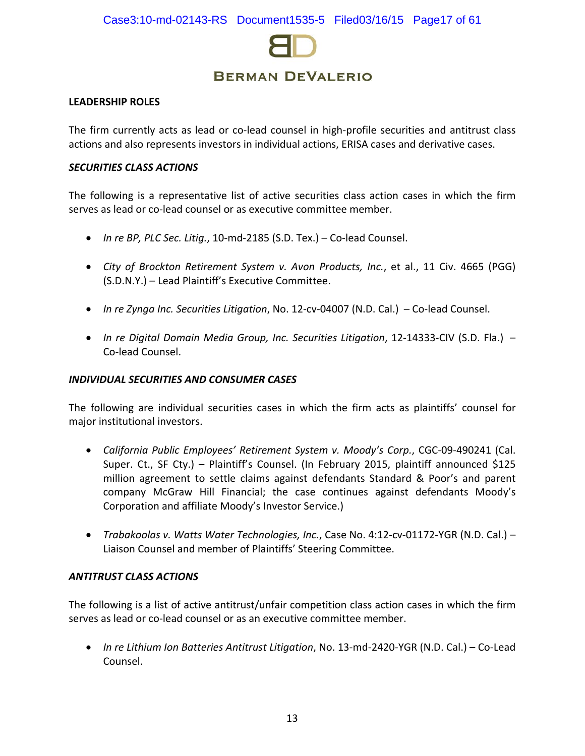

#### **LEADERSHIP ROLES**

The firm currently acts as lead or co-lead counsel in high-profile securities and antitrust class actions and also represents investors in individual actions, ERISA cases and derivative cases.

#### *SECURITIES CLASS ACTIONS*

The following is a representative list of active securities class action cases in which the firm serves as lead or co-lead counsel or as executive committee member.

- *In re BP, PLC Sec. Litig.*, 10-md-2185 (S.D. Tex.) Co-lead Counsel.
- *City of Brockton Retirement System v. Avon Products, Inc.*, et al., 11 Civ. 4665 (PGG) (S.D.N.Y.) – Lead Plaintiff's Executive Committee.
- *In re Zynga Inc. Securities Litigation*, No. 12-cv-04007 (N.D. Cal.) Co-lead Counsel.
- *In re Digital Domain Media Group, Inc. Securities Litigation*, 12-14333-CIV (S.D. Fla.) Co-lead Counsel.

#### *INDIVIDUAL SECURITIES AND CONSUMER CASES*

The following are individual securities cases in which the firm acts as plaintiffs' counsel for major institutional investors.

- *California Public Employees' Retirement System v. Moody's Corp.*, CGC-09-490241 (Cal. Super. Ct., SF Cty.) – Plaintiff's Counsel. (In February 2015, plaintiff announced \$125 million agreement to settle claims against defendants Standard & Poor's and parent company McGraw Hill Financial; the case continues against defendants Moody's Corporation and affiliate Moody's Investor Service.)
- *Trabakoolas v. Watts Water Technologies, Inc.*, Case No. 4:12-cv-01172-YGR (N.D. Cal.) Liaison Counsel and member of Plaintiffs' Steering Committee.

## *ANTITRUST CLASS ACTIONS*

The following is a list of active antitrust/unfair competition class action cases in which the firm serves as lead or co-lead counsel or as an executive committee member.

• *In re Lithium Ion Batteries Antitrust Litigation*, No. 13-md-2420-YGR (N.D. Cal.) – Co-Lead Counsel.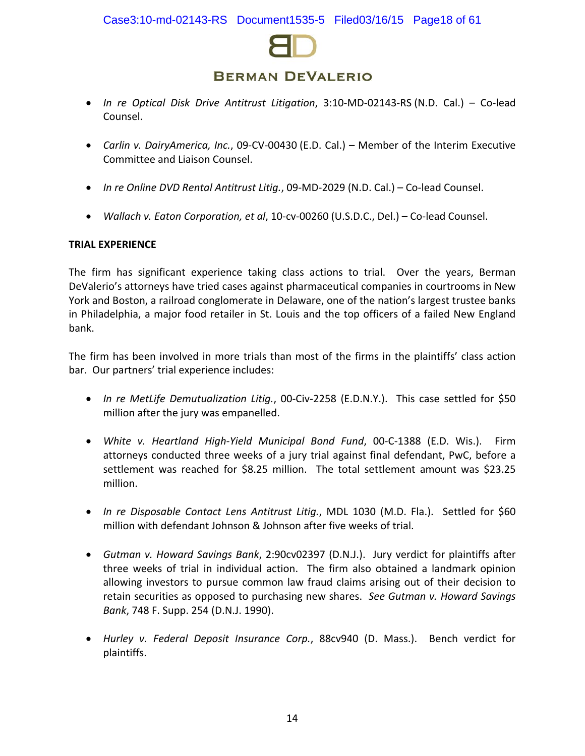

- *[In](http://www.bermanesq.com/pdf/DailyAmerica,IncAmendedClassActionComplaint.pdf) re Optical Disk Drive Antitrust Litigation*, 3:10-MD-02143-RS (N.D. Cal.) Co-lead Counsel.
- *[Carlin v. DairyAmerica, Inc.](http://www.bermanesq.com/pdf/DailyAmerica,IncAmendedClassActionComplaint.pdf)*, 09-CV-00430 (E.D. Cal.) Member of the Interim Executive Committee and Liaison Counsel.
- *In re Online DVD Rental Antitrust Litig.*, 09-MD-2029 (N.D. Cal.) Co-lead Counsel.
- *Wallach v. Eaton Corporation, et al*, 10-cv-00260 (U.S.D.C., Del.) Co-lead Counsel.

## **TRIAL EXPERIENCE**

The firm has significant experience taking class actions to trial. Over the years, Berman DeValerio's attorneys have tried cases against pharmaceutical companies in courtrooms in New York and Boston, a railroad conglomerate in Delaware, one of the nation's largest trustee banks in Philadelphia, a major food retailer in St. Louis and the top officers of a failed New England bank.

The firm has been involved in more trials than most of the firms in the plaintiffs' class action bar. Our partners' trial experience includes:

- *In re MetLife Demutualization Litig.*, 00-Civ-2258 (E.D.N.Y.). This case settled for \$50 million after the jury was empanelled.
- *White v. Heartland High-Yield Municipal Bond Fund*, 00-C-1388 (E.D. Wis.). Firm attorneys conducted three weeks of a jury trial against final defendant, PwC, before a settlement was reached for \$8.25 million. The total settlement amount was \$23.25 million.
- *In re Disposable Contact Lens Antitrust Litig.*, MDL 1030 (M.D. Fla.). Settled for \$60 million with defendant Johnson & Johnson after five weeks of trial.
- *Gutman v. Howard Savings Bank*, 2:90cv02397 (D.N.J.). Jury verdict for plaintiffs after three weeks of trial in individual action. The firm also obtained a landmark opinion allowing investors to pursue common law fraud claims arising out of their decision to retain securities as opposed to purchasing new shares. *See Gutman v. Howard Savings Bank*, 748 F. Supp. 254 (D.N.J. 1990).
- *Hurley v. Federal Deposit Insurance Corp.*, 88cv940 (D. Mass.). Bench verdict for plaintiffs.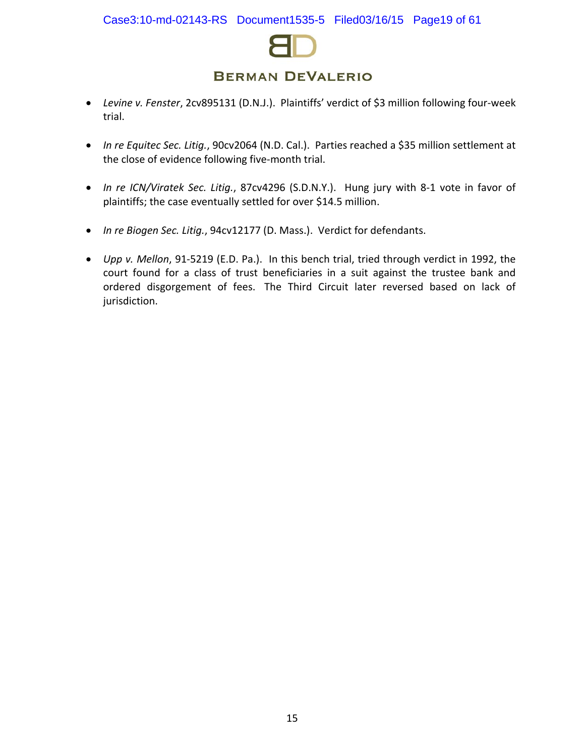

- *Levine v. Fenster*, 2cv895131 (D.N.J.). Plaintiffs' verdict of \$3 million following four-week trial.
- *In re Equitec Sec. Litig.*, 90cv2064 (N.D. Cal.). Parties reached a \$35 million settlement at the close of evidence following five-month trial.
- *In re ICN/Viratek Sec. Litig.*, 87cv4296 (S.D.N.Y.). Hung jury with 8-1 vote in favor of plaintiffs; the case eventually settled for over \$14.5 million.
- *In re Biogen Sec. Litig.*, 94cv12177 (D. Mass.). Verdict for defendants.
- *Upp v. Mellon*, 91-5219 (E.D. Pa.). In this bench trial, tried through verdict in 1992, the court found for a class of trust beneficiaries in a suit against the trustee bank and ordered disgorgement of fees. The Third Circuit later reversed based on lack of jurisdiction.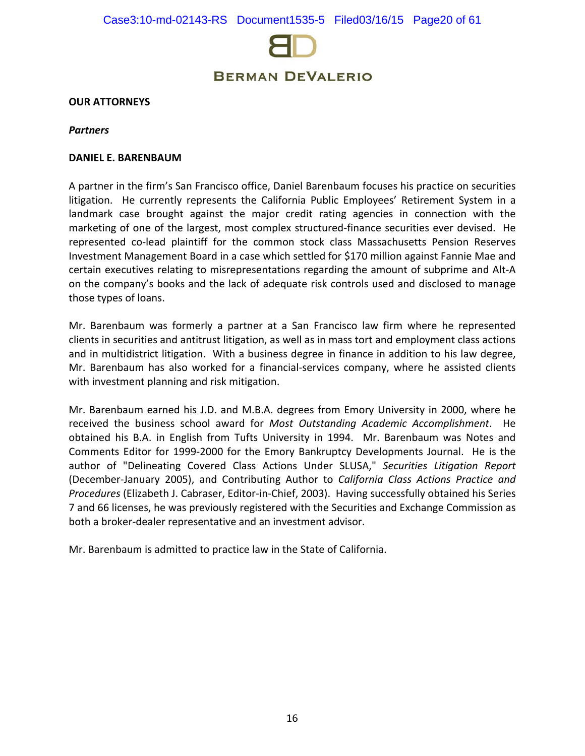

#### **OUR ATTORNEYS**

#### *Partners*

#### **DANIEL E. BARENBAUM**

A partner in the firm's San Francisco office, Daniel Barenbaum focuses his practice on securities litigation. He currently represents the California Public Employees' Retirement System in a landmark case brought against the major credit rating agencies in connection with the marketing of one of the largest, most complex structured-finance securities ever devised. He represented co-lead plaintiff for the common stock class Massachusetts Pension Reserves Investment Management Board in a case which settled for \$170 million against Fannie Mae and certain executives relating to misrepresentations regarding the amount of subprime and Alt-A on the company's books and the lack of adequate risk controls used and disclosed to manage those types of loans.

Mr. Barenbaum was formerly a partner at a San Francisco law firm where he represented clients in securities and antitrust litigation, as well as in mass tort and employment class actions and in multidistrict litigation. With a business degree in finance in addition to his law degree, Mr. Barenbaum has also worked for a financial-services company, where he assisted clients with investment planning and risk mitigation.

Mr. Barenbaum earned his J.D. and M.B.A. degrees from Emory University in 2000, where he received the business school award for *Most Outstanding Academic Accomplishment*. He obtained his B.A. in English from Tufts University in 1994. Mr. Barenbaum was Notes and Comments Editor for 1999-2000 for the Emory Bankruptcy Developments Journal. He is the author of "Delineating Covered Class Actions Under SLUSA," *Securities Litigation Report* (December-January 2005), and Contributing Author to *California Class Actions Practice and Procedures* (Elizabeth J. Cabraser, Editor-in-Chief, 2003). Having successfully obtained his Series 7 and 66 licenses, he was previously registered with the Securities and Exchange Commission as both a broker-dealer representative and an investment advisor.

Mr. Barenbaum is admitted to practice law in the State of California.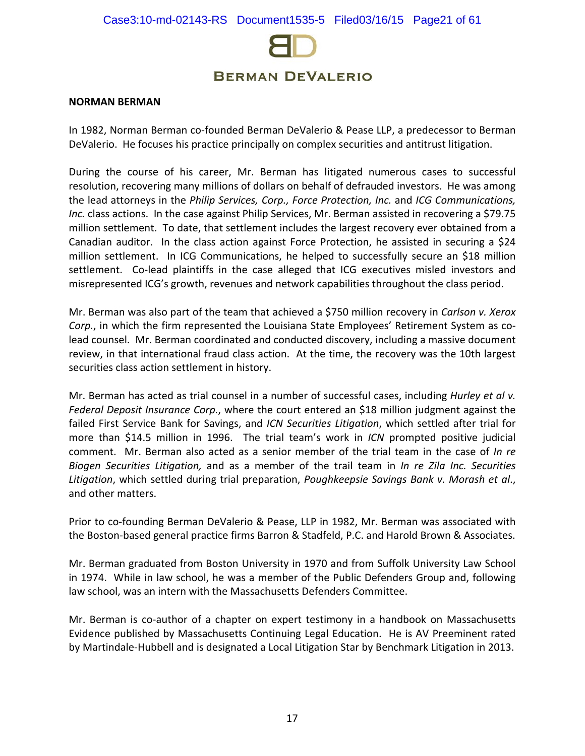

#### **NORMAN BERMAN**

In 1982, Norman Berman co-founded Berman DeValerio & Pease LLP, a predecessor to Berman DeValerio. He focuses his practice principally on complex securities and antitrust litigation.

During the course of his career, Mr. Berman has litigated numerous cases to successful resolution, recovering many millions of dollars on behalf of defrauded investors. He was among the lead attorneys in the *Philip Services, Corp., Force Protection, Inc.* and *ICG Communications, Inc.* class actions. In the case against Philip Services, Mr. Berman assisted in recovering a \$79.75 million settlement. To date, that settlement includes the largest recovery ever obtained from a Canadian auditor. In the class action against Force Protection, he assisted in securing a \$24 million settlement. In ICG Communications, he helped to successfully secure an \$18 million settlement. Co-lead plaintiffs in the case alleged that ICG executives misled investors and misrepresented ICG's growth, revenues and network capabilities throughout the class period.

Mr. Berman was also part of the team that achieved a \$750 million recovery in *Carlson v. Xerox Corp.*, in which the firm represented the Louisiana State Employees' Retirement System as colead counsel. Mr. Berman coordinated and conducted discovery, including a massive document review, in that international fraud class action. At the time, the recovery was the 10th largest securities class action settlement in history.

Mr. Berman has acted as trial counsel in a number of successful cases, including *Hurley et al v. Federal Deposit Insurance Corp.*, where the court entered an \$18 million judgment against the failed First Service Bank for Savings, and *ICN Securities Litigation*, which settled after trial for more than \$14.5 million in 1996. The trial team's work in *ICN* prompted positive judicial comment. Mr. Berman also acted as a senior member of the trial team in the case of *In re Biogen Securities Litigation,* and as a member of the trail team in *In re Zila Inc. Securities Litigation*, which settled during trial preparation, *Poughkeepsie Savings Bank v. Morash et al*., and other matters.

Prior to co-founding Berman DeValerio & Pease, LLP in 1982, Mr. Berman was associated with the Boston-based general practice firms Barron & Stadfeld, P.C. and Harold Brown & Associates.

Mr. Berman graduated from Boston University in 1970 and from Suffolk University Law School in 1974. While in law school, he was a member of the Public Defenders Group and, following law school, was an intern with the Massachusetts Defenders Committee.

Mr. Berman is co-author of a chapter on expert testimony in a handbook on Massachusetts Evidence published by Massachusetts Continuing Legal Education. He is AV Preeminent rated by Martindale-Hubbell and is designated a Local Litigation Star by Benchmark Litigation in 2013.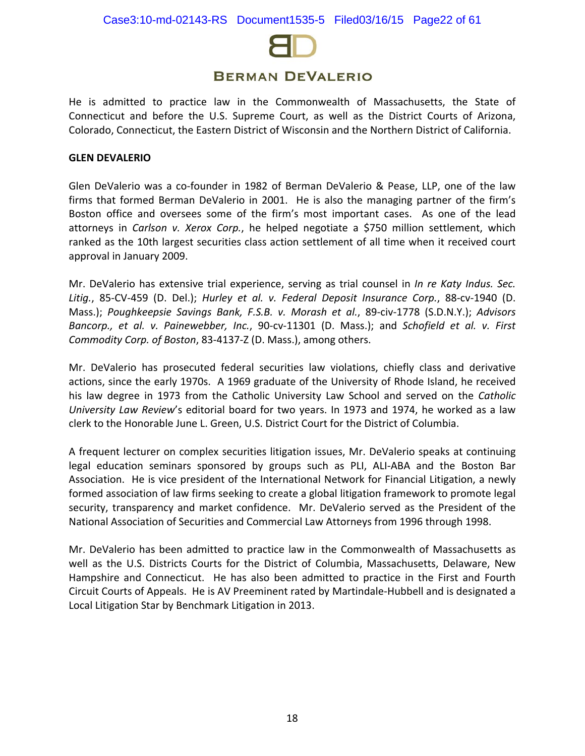

He is admitted to practice law in the Commonwealth of Massachusetts, the State of Connecticut and before the U.S. Supreme Court, as well as the District Courts of Arizona, Colorado, Connecticut, the Eastern District of Wisconsin and the Northern District of California.

#### **GLEN DEVALERIO**

Glen DeValerio was a co-founder in 1982 of Berman DeValerio & Pease, LLP, one of the law firms that formed Berman DeValerio in 2001. He is also the managing partner of the firm's Boston office and oversees some of the firm's most important cases. As one of the lead attorneys in *[Carlson v. Xerox Corp.](http://www.bermanesq.com/Securities/CasePage.asp?caseid=347)*, he helped negotiate a \$750 million settlement, which ranked as the 10th largest securities class action settlement of all time when it received court approval in January 2009.

Mr. DeValerio has extensive trial experience, serving as trial counsel in *In re Katy Indus. Sec. Litig.*, 85-CV-459 (D. Del.); *Hurley et al. v. Federal Deposit Insurance Corp.*, 88-cv-1940 (D. Mass.); *Poughkeepsie Savings Bank, F.S.B. v. Morash et al.*, 89-civ-1778 (S.D.N.Y.); *Advisors Bancorp., et al. v. Painewebber, Inc.*, 90-cv-11301 (D. Mass.); and *Schofield et al. v. First Commodity Corp. of Boston*, 83-4137-Z (D. Mass.), among others.

Mr. DeValerio has prosecuted federal securities law violations, chiefly class and derivative actions, since the early 1970s. A 1969 graduate of the University of Rhode Island, he received his law degree in 1973 from the Catholic University Law School and served on the *Catholic University Law Review*'s editorial board for two years. In 1973 and 1974, he worked as a law clerk to the Honorable June L. Green, U.S. District Court for the District of Columbia.

A frequent lecturer on complex securities litigation issues, Mr. DeValerio speaks at continuing legal education seminars sponsored by groups such as PLI, ALI-ABA and the Boston Bar Association. He is vice president of the International Network for Financial Litigation, a newly formed association of law firms seeking to create a global litigation framework to promote legal security, transparency and market confidence. Mr. DeValerio served as the President of the National Association of Securities and Commercial Law Attorneys from 1996 through 1998.

Mr. DeValerio has been admitted to practice law in the Commonwealth of Massachusetts as well as the U.S. Districts Courts for the District of Columbia, Massachusetts, Delaware, New Hampshire and Connecticut. He has also been admitted to practice in the First and Fourth Circuit Courts of Appeals. He is AV Preeminent rated by Martindale-Hubbell and is designated a Local Litigation Star by Benchmark Litigation in 2013.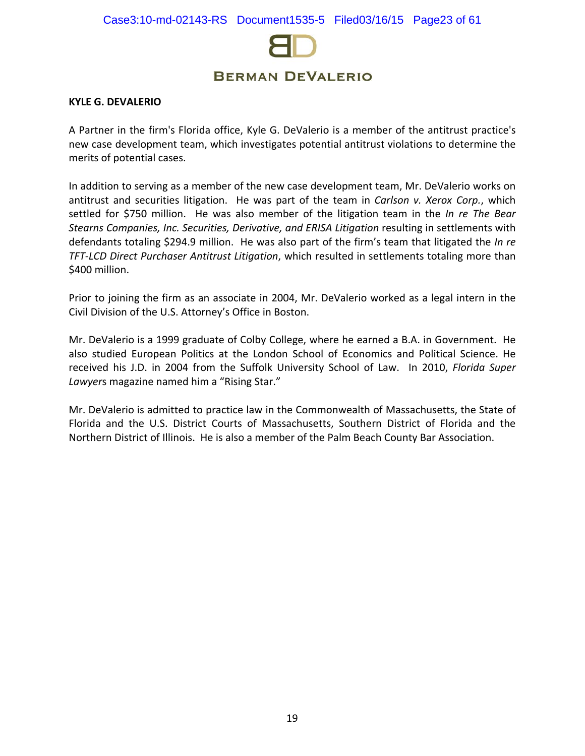

#### **KYLE G. DEVALERIO**

A Partner in the firm's Florida office, Kyle G. DeValerio is a member of the antitrust practice's new case development team, which investigates potential antitrust violations to determine the merits of potential cases.

In addition to serving as a member of the new case development team, Mr. DeValerio works on antitrust and securities litigation. He was part of the team in *Carlson v. Xerox Corp.*, which settled for \$750 million. He was also member of the litigation team in the *In re The Bear Stearns Companies, Inc. Securities, Derivative, and ERISA Litigation* resulting in settlements with defendants totaling \$294.9 million. He was also part of the firm's team that litigated the *In re TFT-LCD Direct Purchaser Antitrust Litigation*, which resulted in settlements totaling more than \$400 million.

Prior to joining the firm as an associate in 2004, Mr. DeValerio worked as a legal intern in the Civil Division of the U.S. Attorney's Office in Boston.

Mr. DeValerio is a 1999 graduate of Colby College, where he earned a B.A. in Government. He also studied European Politics at the London School of Economics and Political Science. He received his J.D. in 2004 from the Suffolk University School of Law. In 2010, *Florida Super Lawyer*s magazine named him a "Rising Star."

Mr. DeValerio is admitted to practice law in the Commonwealth of Massachusetts, the State of Florida and the U.S. District Courts of Massachusetts, Southern District of Florida and the Northern District of Illinois. He is also a member of the Palm Beach County Bar Association.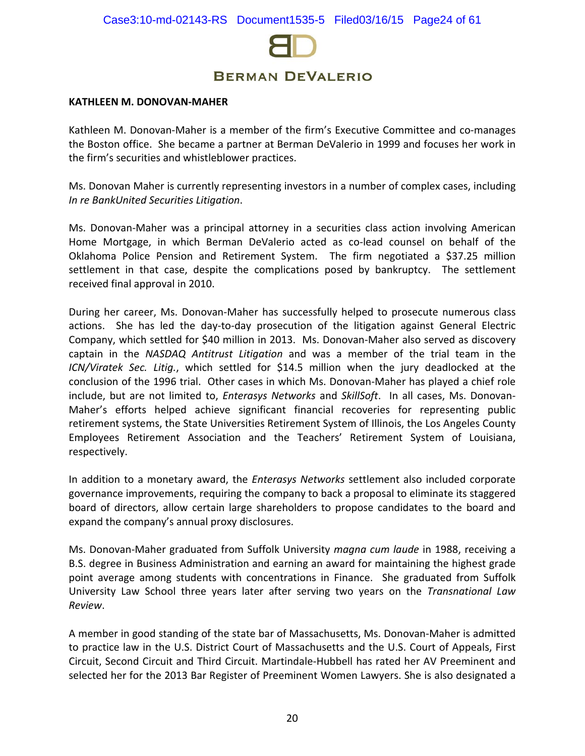

#### **KATHLEEN M. DONOVAN-MAHER**

Kathleen M. Donovan-Maher is a member of the firm's Executive Committee and co-manages the Boston office. She became a partner at Berman DeValerio in 1999 and focuses her work in the firm's securities and whistleblower practices.

Ms. Donovan Maher is currently representing investors in a number of complex cases, including *In re BankUnited Securities Litigation*.

Ms. Donovan-Maher was a principal attorney in a securities class action involving American Home Mortgage, in which Berman DeValerio acted as co-lead counsel on behalf of the Oklahoma Police Pension and Retirement System. The firm negotiated a \$37.25 million settlement in that case, despite the complications posed by bankruptcy. The settlement received final approval in 2010.

During her career, Ms. Donovan-Maher has successfully helped to prosecute numerous class actions. She has led the day-to-day prosecution of the litigation against General Electric Company, which settled for \$40 million in 2013. Ms. Donovan-Maher also served as discovery captain in the *NASDAQ Antitrust Litigation* and was a member of the trial team in the *ICN/Viratek Sec. Litig.*, which settled for \$14.5 million when the jury deadlocked at the conclusion of the 1996 trial. Other cases in which Ms. Donovan-Maher has played a chief role include, but are not limited to, *Enterasys Networks* and *SkillSoft*. In all cases, Ms. Donovan-Maher's efforts helped achieve significant financial recoveries for representing public retirement systems, the State Universities Retirement System of Illinois, the Los Angeles County Employees Retirement Association and the Teachers' Retirement System of Louisiana, respectively.

In addition to a monetary award, the *Enterasys Networks* settlement also included corporate governance improvements, requiring the company to back a proposal to eliminate its staggered board of directors, allow certain large shareholders to propose candidates to the board and expand the company's annual proxy disclosures.

Ms. Donovan-Maher graduated from Suffolk University *magna cum laude* in 1988, receiving a B.S. degree in Business Administration and earning an award for maintaining the highest grade point average among students with concentrations in Finance. She graduated from Suffolk University Law School three years later after serving two years on the *Transnational Law Review*.

A member in good standing of the state bar of Massachusetts, Ms. Donovan-Maher is admitted to practice law in the U.S. District Court of Massachusetts and the U.S. Court of Appeals, First Circuit, Second Circuit and Third Circuit. Martindale-Hubbell has rated her AV Preeminent and selected her for the 2013 Bar Register of Preeminent Women Lawyers. She is also designated a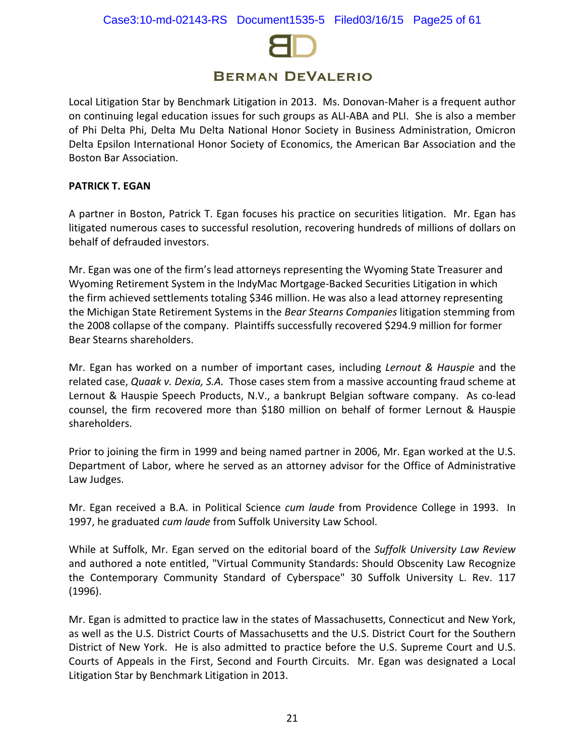

Local Litigation Star by Benchmark Litigation in 2013. Ms. Donovan-Maher is a frequent author on continuing legal education issues for such groups as ALI-ABA and PLI. She is also a member of Phi Delta Phi, Delta Mu Delta National Honor Society in Business Administration, Omicron Delta Epsilon International Honor Society of Economics, the American Bar Association and the Boston Bar Association.

### **PATRICK T. EGAN**

A partner in Boston, Patrick T. Egan focuses his practice on securities litigation. Mr. Egan has litigated numerous cases to successful resolution, recovering hundreds of millions of dollars on behalf of defrauded investors.

Mr. Egan was one of the firm's lead attorneys representing the Wyoming State Treasurer and Wyoming Retirement System in the IndyMac Mortgage-Backed Securities Litigation in which the firm achieved settlements totaling \$346 million. He was also a lead attorney representing the Michigan State Retirement Systems in the *Bear Stearns Companies* litigation stemming from the 2008 collapse [of the](http://www.bermanesq.com/Securities/CasePage.asp?caseid=647) company. Plaintiffs successfully recovered \$294.9 million for former Bear Stearns shareholders.

Mr. Egan has worked on a number of important cases, including *Lernout & Hauspie* and the related case, *Quaak v. Dexia, S.A.* Those cases stem from a massive accounting fraud scheme at Lernout & Hauspie Speech Products, N.V., a bankrupt Belgian software company. As co-lead counsel, the firm recovered more than \$180 million on behalf of former Lernout & Hauspie shareholders.

Prior to joining the firm in 1999 and being named partner in 2006, Mr. Egan worked at the U.S. Department of Labor, where he served as an attorney advisor for the Office of Administrative Law Judges.

Mr. Egan received a B.A. in Political Science *cum laude* from Providence College in 1993. In 1997, he graduated *cum laude* from Suffolk University Law School.

While at Suffolk, Mr. Egan served on the editorial board of the *Suffolk University Law Review*  and authored a note entitled, "Virtual Community Standards: Should Obscenity Law Recognize the Contemporary Community Standard of Cyberspace" 30 Suffolk University L. Rev. 117 (1996).

Mr. Egan is admitted to practice law in the states of Massachusetts, Connecticut and New York, as well as the U.S. District Courts of Massachusetts and the U.S. District Court for the Southern District of New York. He is also admitted to practice before the U.S. Supreme Court and U.S. Courts of Appeals in the First, Second and Fourth Circuits. Mr. Egan was designated a Local Litigation Star by Benchmark Litigation in 2013.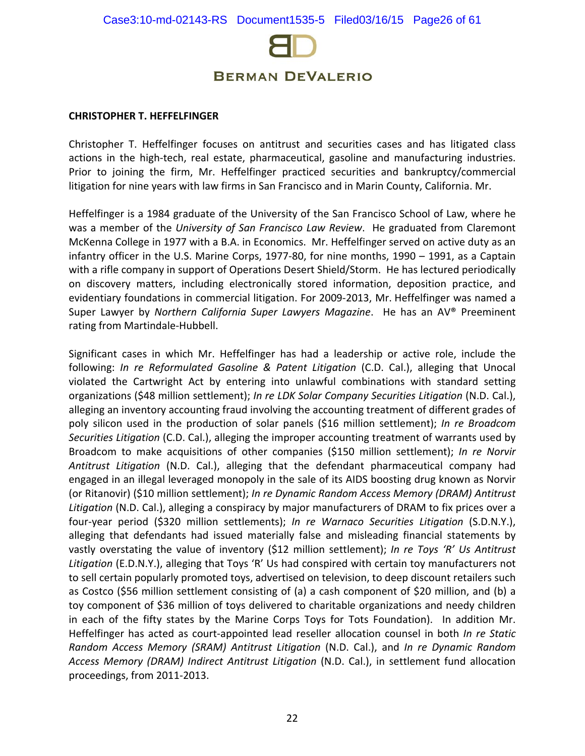

#### **CHRISTOPHER T. HEFFELFINGER**

Christopher T. Heffelfinger focuses on antitrust and securities cases and has litigated class actions in the high-tech, real estate, pharmaceutical, gasoline and manufacturing industries. Prior to joining the firm, Mr. Heffelfinger practiced securities and bankruptcy/commercial litigation for nine years with law firms in San Francisco and in Marin County, California. Mr.

Heffelfinger is a 1984 graduate of the University of the San Francisco School of Law, where he was a member of the *University of San Francisco Law Review*. He graduated from Claremont McKenna College in 1977 with a B.A. in Economics. Mr. Heffelfinger served on active duty as an infantry officer in the U.S. Marine Corps, 1977-80, for nine months, 1990 – 1991, as a Captain with a rifle company in support of Operations Desert Shield/Storm. He has lectured periodically on discovery matters, including electronically stored information, deposition practice, and evidentiary foundations in commercial litigation. For 2009-2013, Mr. Heffelfinger was named a Super Lawyer by *Northern California Super Lawyers Magazine*. He has an AV® Preeminent rating from Martindale-Hubbell.

Significant cases in which Mr. Heffelfinger has had a leadership or active role, include the following: *In re Reformulated Gasoline & Patent Litigation* (C.D. Cal.), alleging that Unocal violated the Cartwright Act by entering into unlawful combinations with standard setting organizations (\$48 million settlement); *In re LDK Solar Company Securities Litigation* (N.D. Cal.), alleging an inventory accounting fraud involving the accounting treatment of different grades of poly silicon used in the production of solar panels (\$16 million settlement); *In re Broadcom Securities Litigation* (C.D. Cal.), alleging the improper accounting treatment of warrants used by Broadcom to make acquisitions of other companies (\$150 million settlement); *In re Norvir Antitrust Litigation* (N.D. Cal.), alleging that the defendant pharmaceutical company had engaged in an illegal leveraged monopoly in the sale of its AIDS boosting drug known as Norvir (or Ritanovir) (\$10 million settlement); *In re Dynamic Random Access Memory (DRAM) Antitrust Litigation* (N.D. Cal.), alleging a conspiracy by major manufacturers of DRAM to fix prices over a four-year period (\$320 million settlements); *In re Warnaco Securities Litigation* (S.D.N.Y.), alleging that defendants had issued materially false and misleading financial statements by vastly overstating the value of inventory (\$12 million settlement); *In re Toys 'R' Us Antitrust Litigation* (E.D.N.Y.), alleging that Toys 'R' Us had conspired with certain toy manufacturers not to sell certain popularly promoted toys, advertised on television, to deep discount retailers such as Costco (\$56 million settlement consisting of (a) a cash component of \$20 million, and (b) a toy component of \$36 million of toys delivered to charitable organizations and needy children in each of the fifty states by the Marine Corps Toys for Tots Foundation). In addition Mr. Heffelfinger has acted as court-appointed lead reseller allocation counsel in both *In re Static Random Access Memory (SRAM) Antitrust Litigation* (N.D. Cal.), and *In re Dynamic Random Access Memory (DRAM) Indirect Antitrust Litigation* (N.D. Cal.), in settlement fund allocation proceedings, from 2011-2013.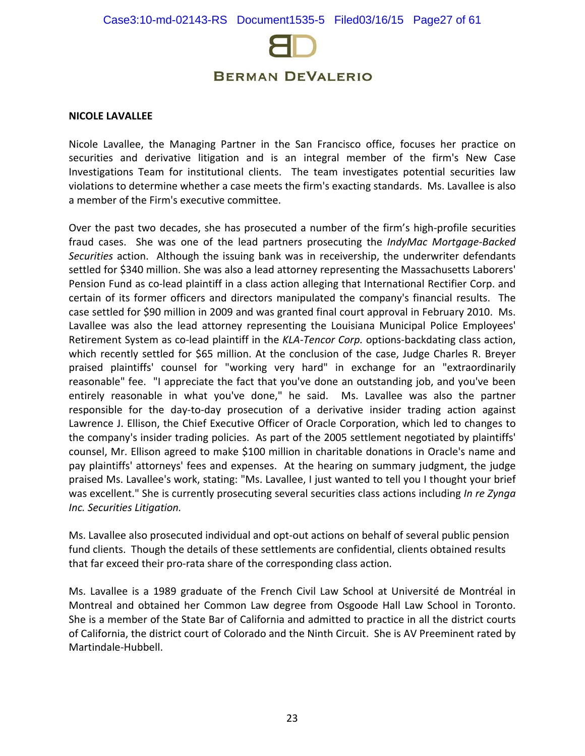

#### **NICOLE LAVALLEE**

Nicole Lavallee, the Managing Partner in the San Francisco office, focuses her practice on securities and derivative litigation and is an integral member of the firm's New Case Investigations Team for institutional clients. The team investigates potential securities law violations to determine whether a case meets the firm's exacting standards. Ms. Lavallee is also a member of the Firm's executive committee.

Over the past two decades, she has prosecuted a number of the firm's high-profile securities fraud cases. She was one of the lead partners prosecuting the *IndyMac Mortgage-Backed Securities* action. Although the issuing bank was in receivership, the underwriter defendants settled for \$340 million. She was also a lead attorney representing the Massachusetts Laborers' Pension Fund as co-lead plaintiff in a class action alleging that International Rectifier Corp. and certain of its former officers and directors manipulated the company's financial results. The case settled for \$90 million in 2009 and was granted final court approval in February 2010. Ms. Lavallee was also the lead attorney representing the Louisiana Municipal Police Employees' Retirement System as co-lead plaintiff in the *KLA-Tencor Corp.* options-backdating class action, which recently settled for \$65 million. At the conclusion of the case, Judge Charles R. Breyer praised plaintiffs' counsel for "working very hard" in exchange for an "extraordinarily reasonable" fee. "I appreciate the fact that you've done an outstanding job, and you've been entirely reasonable in what you've done," he said. Ms. Lavallee was also the partner responsible for the day-to-day prosecution of a derivative insider trading action against Lawrence J. Ellison, the Chief Executive Officer of Oracle Corporation, which led to changes to the company's insider trading policies. As part of the 2005 settlement negotiated by plaintiffs' counsel, Mr. Ellison agreed to make \$100 million in charitable donations in Oracle's name and pay plaintiffs' attorneys' fees and expenses. At the hearing on summary judgment, the judge praised Ms. Lavallee's work, stating: "Ms. Lavallee, I just wanted to tell you I thought your brief was excellent." She is currently prosecuting several securities class actions including *In re Zynga Inc. Securities Litigation.*

Ms. Lavallee also prosecuted individual and opt-out actions on behalf of several public pension fund clients. Though the details of these settlements are confidential, clients obtained results that far exceed their pro-rata share of the corresponding class action.

Ms. Lavallee is a 1989 graduate of the French Civil Law School at Université de Montréal in Montreal and obtained her Common Law degree from Osgoode Hall Law School in Toronto. She is a member of the State Bar of California and admitted to practice in all the district courts of California, the district court of Colorado and the Ninth Circuit. She is AV Preeminent rated by Martindale-Hubbell.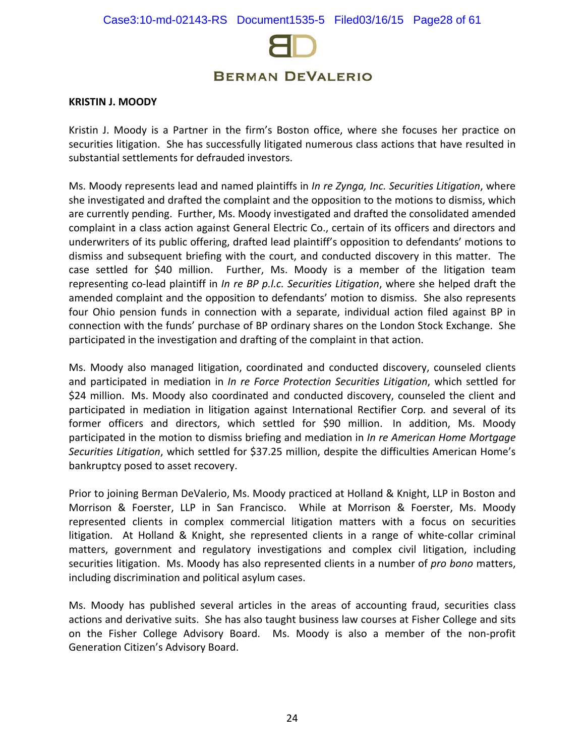

#### **KRISTIN J. MOODY**

Kristin J. Moody is a Partner in the firm's Boston office, where she focuses her practice on securities litigation. She has successfully litigated numerous class actions that have resulted in substantial settlements for defrauded investors.

Ms. Moody represents lead and named plaintiffs in *In re Zynga, Inc. Securities Litigation*, where she investigated and drafted the complaint and the opposition to the motions to dismiss, which are currently pending. Further, Ms. Moody investigated and drafted the consolidated amended complaint in a class action against General Electric Co., certain of its officers and directors and underwriters of its public offering, drafted lead plaintiff's opposition to defendants' motions to dismiss and subsequent briefing with the court, and conducted discovery in this matter. The case settled for \$40 million. Further, Ms. Moody is a member of the litigation team representing co-lead plaintiff in *In re BP p.l.c. Securities Litigation*, where she helped draft the amended complaint and the opposition to defendants' motion to dismiss. She also represents four Ohio pension funds in connection with a separate, individual action filed against BP in connection with the funds' purchase of BP ordinary shares on the London Stock Exchange. She participated in the investigation and drafting of the complaint in that action.

Ms. Moody also managed litigation, coordinated and conducted discovery, counseled clients and participated in mediation in *In re Force Protection Securities Litigation*, which settled for \$24 million. Ms. Moody also coordinated and conducted discovery, counseled the client and participated in mediation in litigation against International Rectifier Corp*.* and several of its former officers and directors, which settled for \$90 million. In addition, Ms. Moody participated in the motion to dismiss briefing and mediation in *In re American Home Mortgage Securities Litigation*, which settled for \$37.25 million, despite the difficulties American Home's bankruptcy posed to asset recovery.

Prior to joining Berman DeValerio, Ms. Moody practiced at Holland & Knight, LLP in Boston and Morrison & Foerster, LLP in San Francisco. While at Morrison & Foerster, Ms. Moody represented clients in complex commercial litigation matters with a focus on securities litigation. At Holland & Knight, she represented clients in a range of white-collar criminal matters, government and regulatory investigations and complex civil litigation, including securities litigation. Ms. Moody has also represented clients in a number of *pro bono* matters, including discrimination and political asylum cases.

Ms. Moody has published several articles in the areas of accounting fraud, securities class actions and derivative suits. She has also taught business law courses at Fisher College and sits on the Fisher College Advisory Board. Ms. Moody is also a member of the non-profit Generation Citizen's Advisory Board.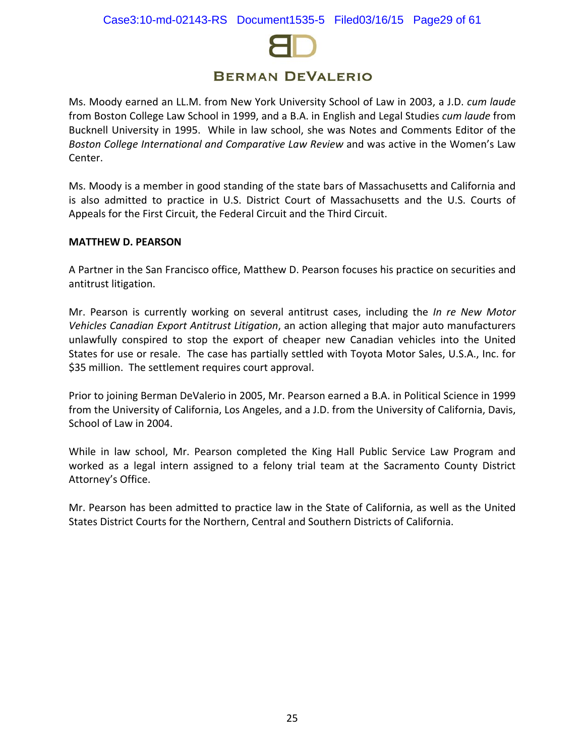

Ms. Moody earned an LL.M. from New York University School of Law in 2003, a J.D. *cum laude* from Boston College Law School in 1999, and a B.A. in English and Legal Studies *cum laude* from Bucknell University in 1995. While in law school, she was Notes and Comments Editor of the *Boston College International and Comparative Law Review* and was active in the Women's Law Center.

Ms. Moody is a member in good standing of the state bars of Massachusetts and California and is also admitted to practice in U.S. District Court of Massachusetts and the U.S. Courts of Appeals for the First Circuit, the Federal Circuit and the Third Circuit.

#### **MATTHEW D. PEARSON**

A Partner in the San Francisco office, Matthew D. Pearson focuses his practice on securities and antitrust litigation.

Mr. Pearson is currently working on several antitrust cases, including the *In re [New Motor](http://www.bermanesq.com/Antitrust/CasePage.asp?caseid=464)  [Vehicles Canadian Export Antitrust Litigation](http://www.bermanesq.com/Antitrust/CasePage.asp?caseid=464)*, an action alleging that major auto manufacturers unlawfully conspired to stop the export of cheaper new Canadian vehicles into the United States for use or resale. The case has partially settled with Toyota Motor Sales, U.S.A., Inc. for \$35 million. The settlement requires court approval.

Prior to joining Berman DeValerio in 2005, Mr. Pearson earned a B.A. in Political Science in 1999 from the University of California, Los Angeles, and a J.D. from the University of California, Davis, School of Law in 2004.

While in law school, Mr. Pearson completed the King Hall Public Service Law Program and worked as a legal intern assigned to a felony trial team at the Sacramento County District Attorney's Office.

Mr. Pearson has been admitted to practice law in the State of California, as well as the United States District Courts for the Northern, Central and Southern Districts of California.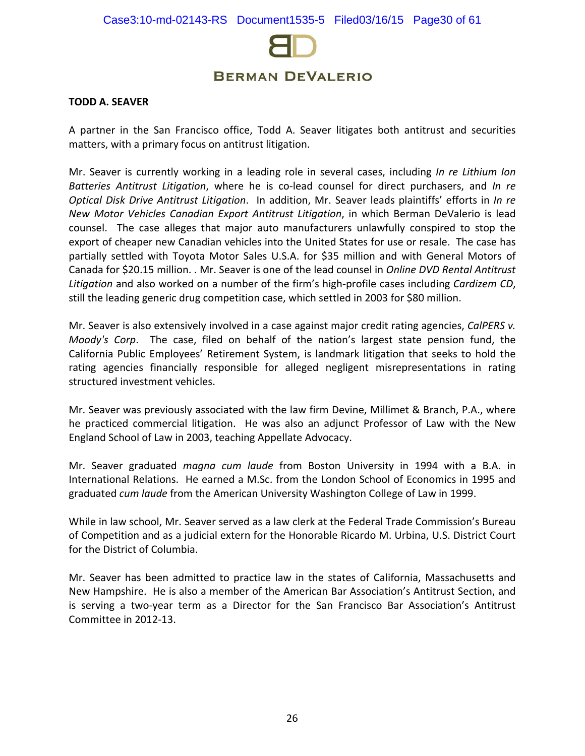

#### **TODD A. SEAVER**

A partner in the San Francisco office, Todd A. Seaver litigates both antitrust and securities matters, with a primary focus on antitrust litigation.

Mr. Seaver is currently working in a leading role in several cases, including *In re Lithium Ion Batteries Antitrust Litigation*, where he is co-lead counsel for direct purchasers, and *In re Optical Disk Drive Antitrust Litigation*. In addition, Mr. Seaver leads plaintiffs' efforts in *In re New Motor Vehicles Canadian Export Antitrust Litigation*, in which Berman DeValerio is lead counsel. The case alleges that major auto manufacturers unlawfully conspired to stop the export of cheaper new Canadian vehicles into the United States for use or resale. The case has partially settled with Toyota Motor Sales U.S.A. for \$35 million and with General Motors of Canada for \$20.15 million. . Mr. Seaver is one of the lead counsel in *Online DVD Rental Antitrust Litigation* and also worked on a number of the firm's high-profile cases including *Cardizem CD*, still the leading generic drug competition case, which settled in 2003 for \$80 million.

Mr. Seaver is also extensively involved in a case against major credit rating agencies, *CalPERS v. Moody's Corp*. The case, filed on behalf of the nation's largest state pension fund, the California Public Employees' Retirement System, is landmark litigation that seeks to hold the rating agencies financially responsible for alleged negligent misrepresentations in rating structured investment vehicles.

Mr. Seaver was previously associated with the law firm Devine, Millimet & Branch, P.A., where he practiced commercial litigation. He was also an adjunct Professor of Law with the New England School of Law in 2003, teaching Appellate Advocacy.

Mr. Seaver graduated *magna cum laude* from Boston University in 1994 with a B.A. in International Relations. He earned a M.Sc. from the London School of Economics in 1995 and graduated *cum laude* from the American University Washington College of Law in 1999.

While in law school, Mr. Seaver served as a law clerk at the Federal Trade Commission's Bureau of Competition and as a judicial extern for the Honorable Ricardo M. Urbina, U.S. District Court for the District of Columbia.

Mr. Seaver has been admitted to practice law in the states of California, Massachusetts and New Hampshire. He is also a member of the American Bar Association's Antitrust Section, and is serving a two-year term as a Director for the San Francisco Bar Association's Antitrust Committee in 2012-13.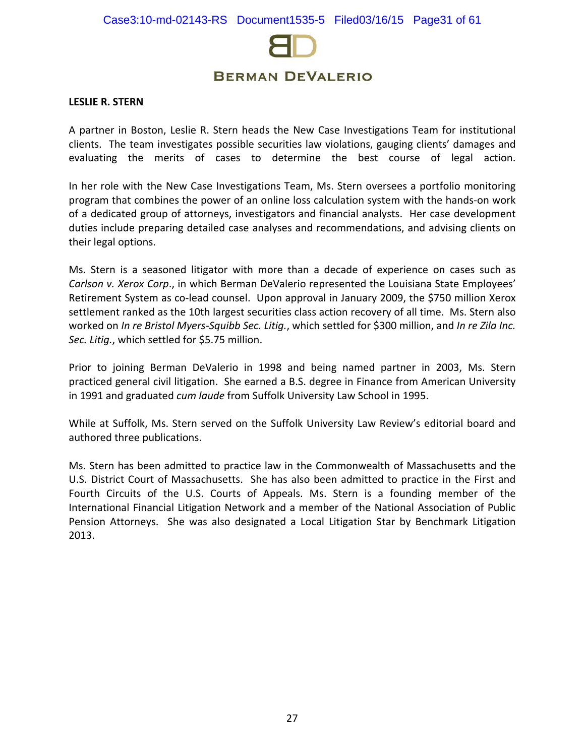

#### **LESLIE R. STERN**

A partner in Boston, Leslie R. Stern heads the New Case Investigations Team for institutional clients. The team investigates possible securities law violations, gauging clients' damages and evaluating the merits of cases to determine the best course of legal action.

In her role with the New Case Investigations Team, Ms. Stern oversees a portfolio monitoring program that combines the power of an online loss calculation system with the hands-on work of a dedicated group of attorneys, investigators and financial analysts. Her case development duties include preparing detailed case analyses and recommendations, and advising clients on their legal options.

Ms. Stern is a seasoned litigator with more than a decade of experience on cases such as *[Carlson v. Xerox Corp](http://www.bermanesq.com/Securities/CasePage.asp?caseid=347)*., in which Berman DeValerio represented the Louisiana State Employees' Retirement System as co-lead counsel. Upon approval in January 2009, the \$750 million Xerox settlement ranked as the 10th largest securities class action recovery of all time. Ms. Stern also worked on *[In re Bristol Myers-Squibb Sec. Litig.](http://www.bermanesq.com/Securities/CasePage.asp?caseid=443)*, which settled for \$300 million, and *In re Zila Inc. Sec. Litig.*, which settled for \$5.75 million.

Prior to joining Berman DeValerio in 1998 and being named partner in 2003, Ms. Stern practiced general civil litigation. She earned a B.S. degree in Finance from American University in 1991 and graduated *cum laude* from Suffolk University Law School in 1995.

While at Suffolk, Ms. Stern served on the Suffolk University Law Review's editorial board and authored three publications.

Ms. Stern has been admitted to practice law in the Commonwealth of Massachusetts and the U.S. District Court of Massachusetts. She has also been admitted to practice in the First and Fourth Circuits of the U.S. Courts of Appeals. Ms. Stern is a founding member of the International Financial Litigation Network and a member of the National Association of Public Pension Attorneys. She was also designated a Local Litigation Star by Benchmark Litigation 2013.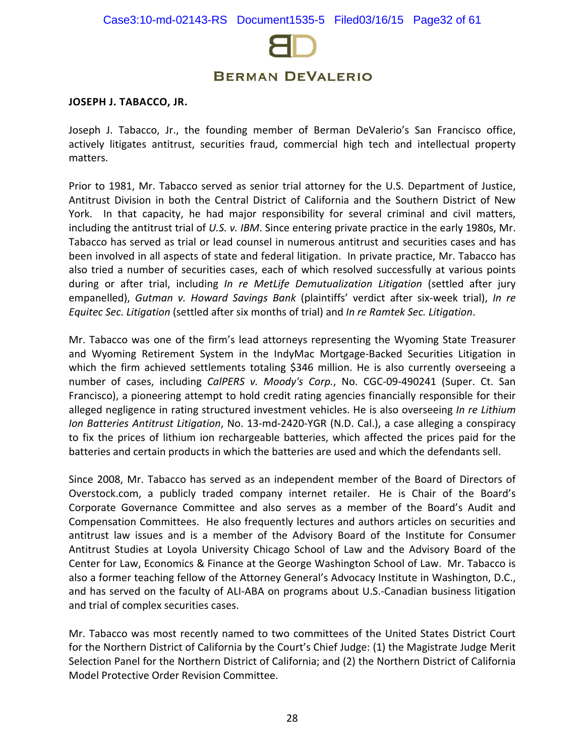

#### **JOSEPH J. TABACCO, JR.**

Joseph J. Tabacco, Jr., the founding member of Berman DeValerio's San Francisco office, actively litigates antitrust, securities fraud, commercial high tech and intellectual property matters.

Prior to 1981, Mr. Tabacco served as senior trial attorney for the U.S. Department of Justice, Antitrust Division in both the Central District of California and the Southern District of New York. In that capacity, he had major responsibility for several criminal and civil matters, including the antitrust trial of *U.S. v. IBM*. Since entering private practice in the early 1980s, Mr. Tabacco has served as trial or lead counsel in numerous antitrust and securities cases and has been involved in all aspects of state and federal litigation. In private practice, Mr. Tabacco has also tried a number of securities cases, each of which resolved successfully at various points during or after trial, including *In re MetLife Demutualization Litigation* (settled after jury empanelled), *Gutman v. Howard Savings Bank* (plaintiffs' verdict after six-week trial), *In re Equitec Sec. Litigation* (settled after six months of trial) and *In re Ramtek Sec. Litigation*.

Mr. Tabacco was one of the firm's lead attorneys representing the Wyoming State Treasurer and Wyoming Retirement System in the IndyMac Mortgage-Backed Securities Litigation in which the firm achieved settlements totaling \$346 million. He is also currently overseeing a number of cases, including *CalPERS v. Moody's Corp.*, No. CGC-09-490241 (Super. Ct. San Francisco), a pioneering attempt to hold credit rating agencies financially responsible for their alleged negligence in rating structured investment vehicles. He is also overseeing *In re Lithium Ion Batteries Antitrust Litigation*, No. 13-md-2420-YGR (N.D. Cal.), a case alleging a conspiracy to fix the prices of lithium ion rechargeable batteries, which affected the prices paid for the batteries and certain products in which the batteries are used and which the defendants sell.

Since 2008, Mr. Tabacco has served as an independent member of the Board of Directors of Overstock.com, a publicly traded company internet retailer. He is Chair of the Board's Corporate Governance Committee and also serves as a member of the Board's Audit and Compensation Committees. He also frequently lectures and authors articles on securities and antitrust law issues and is a member of the Advisory Board of the Institute for Consumer Antitrust Studies at Loyola University Chicago School of Law and the Advisory Board of the Center for Law, Economics & Finance at the George Washington School of Law. Mr. Tabacco is also a former teaching fellow of the Attorney General's Advocacy Institute in Washington, D.C., and has served on the faculty of ALI-ABA on programs about U.S.-Canadian business litigation and trial of complex securities cases.

Mr. Tabacco was most recently named to two committees of the United States District Court for the Northern District of California by the Court's Chief Judge: (1) the Magistrate Judge Merit Selection Panel for the Northern District of California; and (2) the Northern District of California Model Protective Order Revision Committee.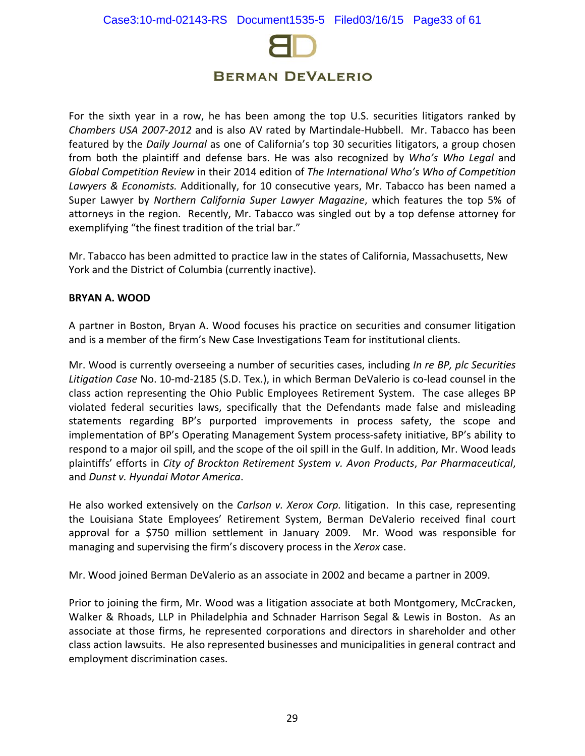

For the sixth year in a row, he has been among the top U.S. securities litigators ranked by *Chambers USA 2007-2012* and is also AV rated by Martindale-Hubbell. Mr. Tabacco has been featured by the *Daily Journal* as one of California's top 30 securities litigators, a group chosen from both the plaintiff and defense bars. He was also recognized by *Who's Who Legal* and *Global Competition Review* in their 2014 edition of *The International Who's Who of Competition Lawyers & Economists.* Additionally, for 10 consecutive years, Mr. Tabacco has been named a Super Lawyer by *Northern California Super Lawyer Magazine*, which features the top 5% of attorneys in the region. Recently, Mr. Tabacco was singled out by a top defense attorney for exemplifying "the finest tradition of the trial bar."

Mr. Tabacco has been admitted to practice law in the states of California, Massachusetts, New York and the District of Columbia (currently inactive).

### **BRYAN A. WOOD**

A partner in Boston, Bryan A. Wood focuses his practice on securities and consumer litigation and is a member of the firm's New Case Investigations Team for institutional clients.

Mr. Wood is currently overseeing a number of securities cases, including *In re BP, plc Securities Litigation Case* No. 10-md-2185 (S.D. Tex.), in which Berman DeValerio is co-lead counsel in the class action representing the Ohio Public Employees Retirement System. The case alleges BP violated federal securities laws, specifically that the Defendants made false and misleading statements regarding BP's purported improvements in process safety, the scope and implementation of BP's Operating Management System process-safety initiative, BP's ability to respond to a major oil spill, and the scope of the oil spill in the Gulf. In addition, Mr. Wood leads plaintiffs' efforts in *City of Brockton Retirement System v. Avon Products*, *Par Pharmaceutical*, and *Dunst v. Hyundai Motor America*.

He also worked extensively on the *[Carlson v. Xerox Corp.](http://www.bermanesq.com/Securities/CasePage.asp?caseid=347)* litigation. In this case, representing the Louisiana State Employees' Retirement System, Berman DeValerio received final court approval for a \$750 million settlement in January 2009. Mr. Wood was responsible for managing and supervising the firm's discovery process in the *[Xerox](http://www.bermanesq.com/Securities/CasePage.asp?caseid=347)* case.

Mr. Wood joined Berman DeValerio as an associate in 2002 and became a partner in 2009.

Prior to joining the firm, Mr. Wood was a litigation associate at both Montgomery, McCracken, Walker & Rhoads, LLP in Philadelphia and Schnader Harrison Segal & Lewis in Boston. As an associate at those firms, he represented corporations and directors in shareholder and other class action lawsuits. He also represented businesses and municipalities in general contract and employment discrimination cases.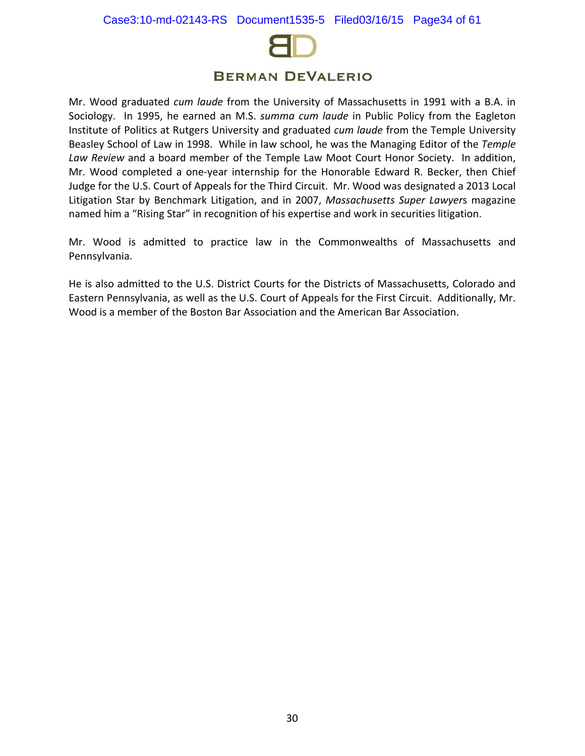

Mr. Wood graduated *cum laude* from the University of Massachusetts in 1991 with a B.A. in Sociology. In 1995, he earned an M.S. *summa cum laude* in Public Policy from the Eagleton Institute of Politics at Rutgers University and graduated *cum laude* from the Temple University Beasley School of Law in 1998. While in law school, he was the Managing Editor of the *Temple Law Review* and a board member of the Temple Law Moot Court Honor Society. In addition, Mr. Wood completed a one-year internship for the Honorable Edward R. Becker, then Chief Judge for the U.S. Court of Appeals for the Third Circuit. Mr. Wood was designated a 2013 Local Litigation Star by Benchmark Litigation, and in 2007, *Massachusetts Super Lawyer*s magazine named him a "Rising Star" in recognition of his expertise and work in securities litigation.

Mr. Wood is admitted to practice law in the Commonwealths of Massachusetts and Pennsylvania.

He is also admitted to the U.S. District Courts for the Districts of Massachusetts, Colorado and Eastern Pennsylvania, as well as the U.S. Court of Appeals for the First Circuit. Additionally, Mr. Wood is a member of the Boston Bar Association and the American Bar Association.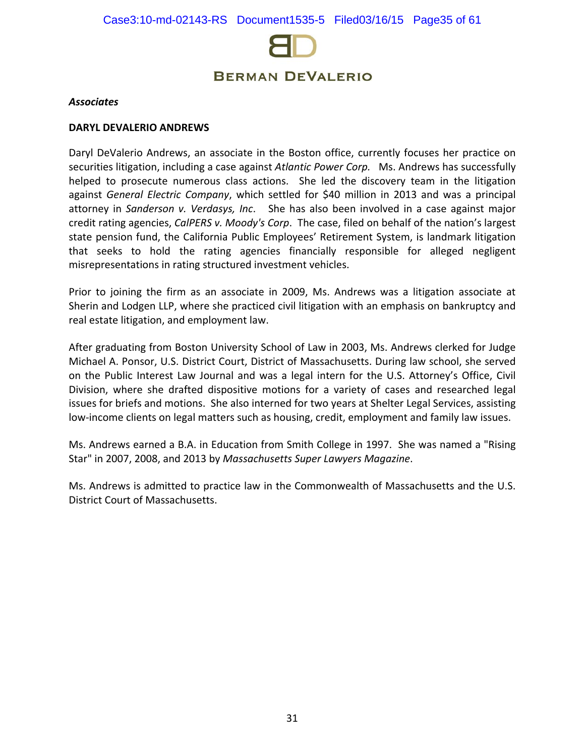

#### *Associates*

#### **DARYL DEVALERIO ANDREWS**

Daryl DeValerio Andrews, an associate in the Boston office, currently focuses her practice on securities litigation, including a case against *Atlantic Power Corp.* Ms. Andrews has successfully helped to prosecute numerous class actions. She led the discovery team in the litigation against *General Electric Company*, which settled for \$40 million in 2013 and was a principal attorney in *Sanderson v. Verdasys, Inc*. She has also been involved in a case against major credit rating agencies, *CalPERS v. Moody's Corp*. The case, filed on behalf of the nation's largest state pension fund, the California Public Employees' Retirement System, is landmark litigation that seeks to hold the rating agencies financially responsible for alleged negligent misrepresentations in rating structured investment vehicles.

Prior to joining the firm as an associate in 2009, Ms. Andrews was a litigation associate at Sherin and Lodgen LLP, where she practiced civil litigation with an emphasis on bankruptcy and real estate litigation, and employment law.

After graduating from Boston University School of Law in 2003, Ms. Andrews clerked for Judge Michael A. Ponsor, U.S. District Court, District of Massachusetts. During law school, she served on the Public Interest Law Journal and was a legal intern for the U.S. Attorney's Office, Civil Division, where she drafted dispositive motions for a variety of cases and researched legal issues for briefs and motions. She also interned for two years at Shelter Legal Services, assisting low-income clients on legal matters such as housing, credit, employment and family law issues.

Ms. Andrews earned a B.A. in Education from Smith College in 1997. She was named a "Rising Star" in 2007, 2008, and 2013 by *Massachusetts Super Lawyers Magazine*.

Ms. Andrews is admitted to practice law in the Commonwealth of Massachusetts and the U.S. District Court of Massachusetts.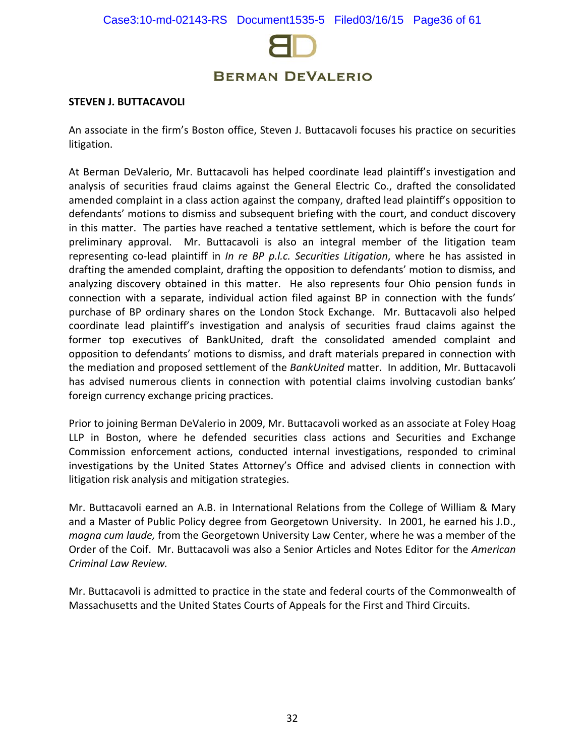

#### **STEVEN J. BUTTACAVOLI**

An associate in the firm's Boston office, Steven J. Buttacavoli focuses his practice on securities litigation.

At Berman DeValerio, Mr. Buttacavoli has helped coordinate lead plaintiff's investigation and analysis of securities fraud claims against the General Electric Co., drafted the consolidated amended complaint in a class action against the company, drafted lead plaintiff's opposition to defendants' motions to dismiss and subsequent briefing with the court, and conduct discovery in this matter. The parties have reached a tentative settlement, which is before the court for preliminary approval. Mr. Buttacavoli is also an integral member of the litigation team representing co-lead plaintiff in *In re BP p.l.c. Securities Litigation*, where he has assisted in drafting the amended complaint, drafting the opposition to defendants' motion to dismiss, and analyzing discovery obtained in this matter. He also represents four Ohio pension funds in connection with a separate, individual action filed against BP in connection with the funds' purchase of BP ordinary shares on the London Stock Exchange. Mr. Buttacavoli also helped coordinate lead plaintiff's investigation and analysis of securities fraud claims against the former top executives of BankUnited, draft the consolidated amended complaint and opposition to defendants' motions to dismiss, and draft materials prepared in connection with the mediation and proposed settlement of the *BankUnited* matter. In addition, Mr. Buttacavoli has advised numerous clients in connection with potential claims involving custodian banks' foreign currency exchange pricing practices.

Prior to joining Berman DeValerio in 2009, Mr. Buttacavoli worked as an associate at Foley Hoag LLP in Boston, where he defended securities class actions and Securities and Exchange Commission enforcement actions, conducted internal investigations, responded to criminal investigations by the United States Attorney's Office and advised clients in connection with litigation risk analysis and mitigation strategies.

Mr. Buttacavoli earned an A.B. in International Relations from the College of William & Mary and a Master of Public Policy degree from Georgetown University. In 2001, he earned his J.D., *magna cum laude,* from the Georgetown University Law Center, where he was a member of the Order of the Coif. Mr. Buttacavoli was also a Senior Articles and Notes Editor for the *American Criminal Law Review.*

Mr. Buttacavoli is admitted to practice in the state and federal courts of the Commonwealth of Massachusetts and the United States Courts of Appeals for the First and Third Circuits.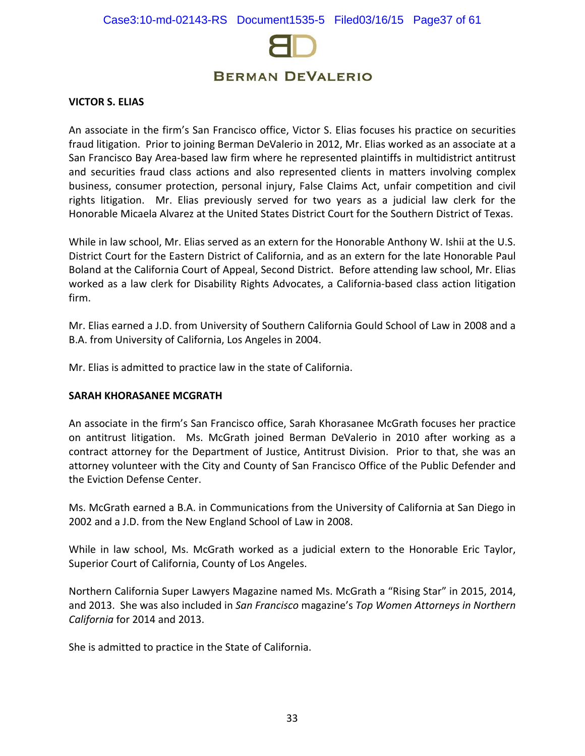

#### **VICTOR S. ELIAS**

An associate in the firm's San Francisco office, Victor S. Elias focuses his practice on securities fraud litigation. Prior to joining Berman DeValerio in 2012, Mr. Elias worked as an associate at a San Francisco Bay Area-based law firm where he represented plaintiffs in multidistrict antitrust and securities fraud class actions and also represented clients in matters involving complex business, consumer protection, personal injury, False Claims Act, unfair competition and civil rights litigation. Mr. Elias previously served for two years as a judicial law clerk for the Honorable Micaela Alvarez at the United States District Court for the Southern District of Texas.

While in law school, Mr. Elias served as an extern for the Honorable Anthony W. Ishii at the U.S. District Court for the Eastern District of California, and as an extern for the late Honorable Paul Boland at the California Court of Appeal, Second District. Before attending law school, Mr. Elias worked as a law clerk for Disability Rights Advocates, a California-based class action litigation firm.

Mr. Elias earned a J.D. from University of Southern California Gould School of Law in 2008 and a B.A. from University of California, Los Angeles in 2004.

Mr. Elias is admitted to practice law in the state of California.

#### **SARAH KHORASANEE MCGRATH**

An associate in the firm's San Francisco office, Sarah Khorasanee McGrath focuses her practice on antitrust litigation. Ms. McGrath joined Berman DeValerio in 2010 after working as a contract attorney for the Department of Justice, Antitrust Division. Prior to that, she was an attorney volunteer with the City and County of San Francisco Office of the Public Defender and the Eviction Defense Center.

Ms. McGrath earned a B.A. in Communications from the University of California at San Diego in 2002 and a J.D. from the New England School of Law in 2008.

While in law school, Ms. McGrath worked as a judicial extern to the Honorable Eric Taylor, Superior Court of California, County of Los Angeles.

Northern California Super Lawyers Magazine named Ms. McGrath a "Rising Star" in 2015, 2014, and 2013. She was also included in *San Francisco* magazine's *Top Women Attorneys in Northern California* for 2014 and 2013.

She is admitted to practice in the State of California.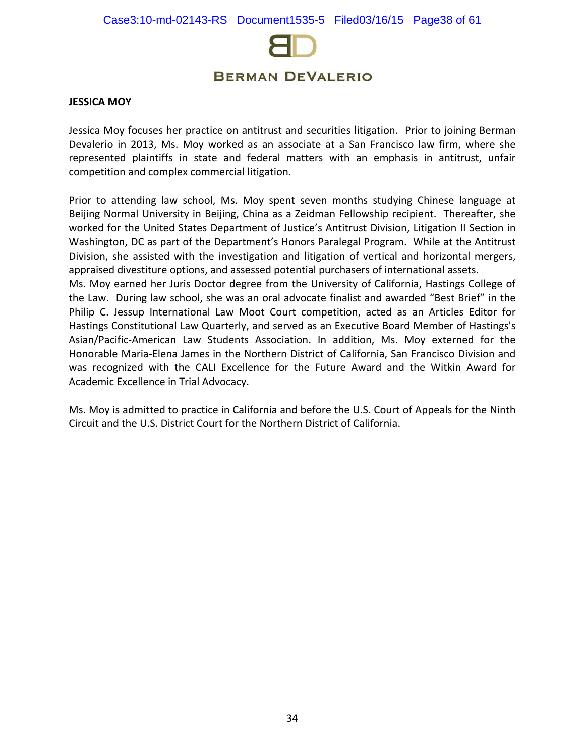

#### **JESSICA MOY**

Jessica Moy focuses her practice on antitrust and securities litigation. Prior to joining Berman Devalerio in 2013, Ms. Moy worked as an associate at a San Francisco law firm, where she represented plaintiffs in state and federal matters with an emphasis in antitrust, unfair competition and complex commercial litigation.

Prior to attending law school, Ms. Moy spent seven months studying Chinese language at Beijing Normal University in Beijing, China as a Zeidman Fellowship recipient. Thereafter, she worked for the United States Department of Justice's Antitrust Division, Litigation II Section in Washington, DC as part of the Department's Honors Paralegal Program. While at the Antitrust Division, she assisted with the investigation and litigation of vertical and horizontal mergers, appraised divestiture options, and assessed potential purchasers of international assets.

Ms. Moy earned her Juris Doctor degree from the University of California, Hastings College of the Law. During law school, she was an oral advocate finalist and awarded "Best Brief" in the Philip C. Jessup International Law Moot Court competition, acted as an Articles Editor for Hastings Constitutional Law Quarterly, and served as an Executive Board Member of Hastings's Asian/Pacific-American Law Students Association. In addition, Ms. Moy externed for the Honorable Maria-Elena James in the Northern District of California, San Francisco Division and was recognized with the CALI Excellence for the Future Award and the Witkin Award for Academic Excellence in Trial Advocacy.

Ms. Moy is admitted to practice in California and before the U.S. Court of Appeals for the Ninth Circuit and the U.S. District Court for the Northern District of California.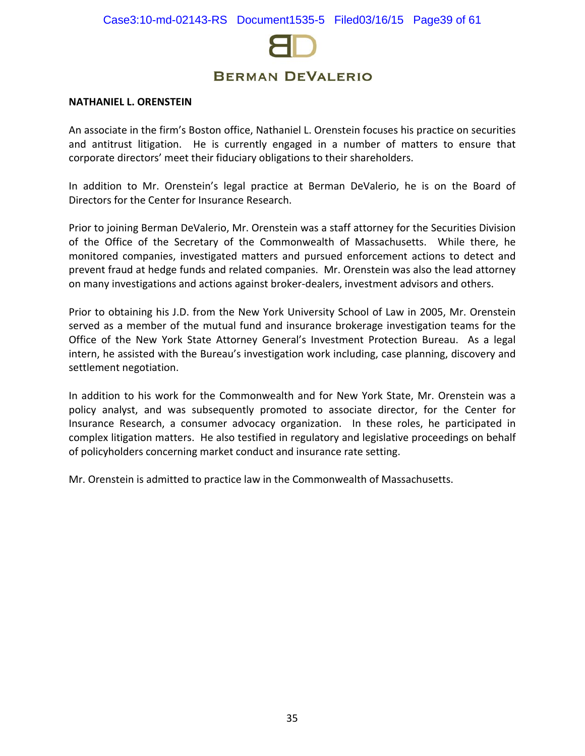

#### **NATHANIEL L. ORENSTEIN**

An associate in the firm's Boston office, Nathaniel L. Orenstein focuses his practice on securities and antitrust litigation. He is currently engaged in a number of matters to ensure that corporate directors' meet their fiduciary obligations to their shareholders.

In addition to Mr. Orenstein's legal practice at Berman DeValerio, he is on the Board of Directors for the Center for Insurance Research.

Prior to joining Berman DeValerio, Mr. Orenstein was a staff attorney for the Securities Division of the Office of the Secretary of the Commonwealth of Massachusetts. While there, he monitored companies, investigated matters and pursued enforcement actions to detect and prevent fraud at hedge funds and related companies. Mr. Orenstein was also the lead attorney on many investigations and actions against broker-dealers, investment advisors and others.

Prior to obtaining his J.D. from the New York University School of Law in 2005, Mr. Orenstein served as a member of the mutual fund and insurance brokerage investigation teams for the Office of the New York State Attorney General's Investment Protection Bureau. As a legal intern, he assisted with the Bureau's investigation work including, case planning, discovery and settlement negotiation.

In addition to his work for the Commonwealth and for New York State, Mr. Orenstein was a policy analyst, and was subsequently promoted to associate director, for the Center for Insurance Research, a consumer advocacy organization. In these roles, he participated in complex litigation matters. He also testified in regulatory and legislative proceedings on behalf of policyholders concerning market conduct and insurance rate setting.

Mr. Orenstein is admitted to practice law in the Commonwealth of Massachusetts.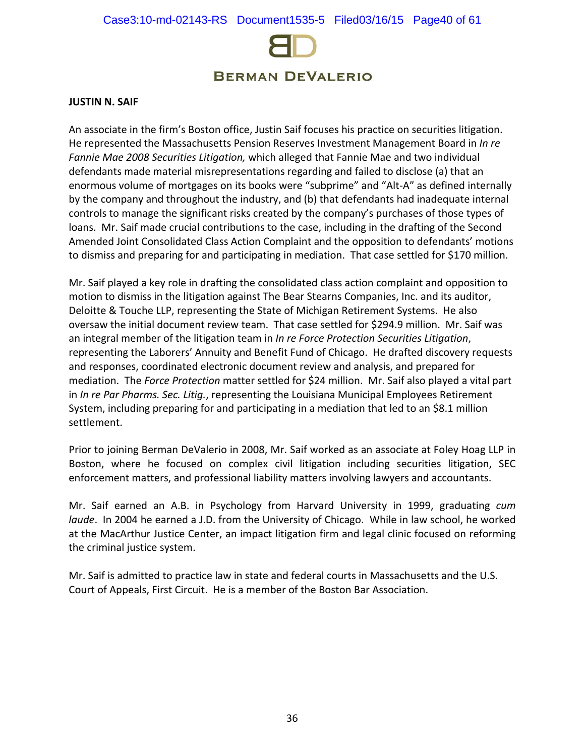

#### **JUSTIN N. SAIF**

An associate in the firm's Boston office, Justin Saif focuses his practice on securities litigation. He represented the Massachusetts Pension Reserves Investment Management Board in *In re Fannie Mae 2008 Securities Litigation,* which alleged that Fannie Mae and two individual defendants made material misrepresentations regarding and failed to disclose (a) that an enormous volume of mortgages on its books were "subprime" and "Alt-A" as defined internally by the company and throughout the industry, and (b) that defendants had inadequate internal controls to manage the significant risks created by the company's purchases of those types of loans. Mr. Saif made crucial contributions to the case, including in the drafting of the Second Amended Joint Consolidated Class Action Complaint and the opposition to defendants' motions to dismiss and preparing for and participating in mediation. That case settled for \$170 million.

Mr. Saif played a key role in drafting the consolidated class action complaint and opposition to motion to dismiss in the litigation against The Bear Stearns Companies, Inc. and its auditor, Deloitte & Touche LLP, representing the State of Michigan Retirement Systems. He also oversaw the initial document review team. That case settled for \$294.9 million. Mr. Saif was an integral member of the litigation team in *In re Force Protection Securities Litigation*, representing the Laborers' Annuity and Benefit Fund of Chicago. He drafted discovery requests and responses, coordinated electronic document review and analysis, and prepared for mediation. The *Force Protection* matter settled for \$24 million. Mr. Saif also played a vital part in *In re Par Pharms. Sec. Litig.*, representing the Louisiana Municipal Employees Retirement System, including preparing for and participating in a mediation that led to an \$8.1 million settlement.

Prior to joining Berman DeValerio in 2008, Mr. Saif worked as an associate at Foley Hoag LLP in Boston, where he focused on complex civil litigation including securities litigation, SEC enforcement matters, and professional liability matters involving lawyers and accountants.

Mr. Saif earned an A.B. in Psychology from Harvard University in 1999, graduating *cum laude*. In 2004 he earned a J.D. from the University of Chicago. While in law school, he worked at the MacArthur Justice Center, an impact litigation firm and legal clinic focused on reforming the criminal justice system.

Mr. Saif is admitted to practice law in state and federal courts in Massachusetts and the U.S. Court of Appeals, First Circuit. He is a member of the Boston Bar Association.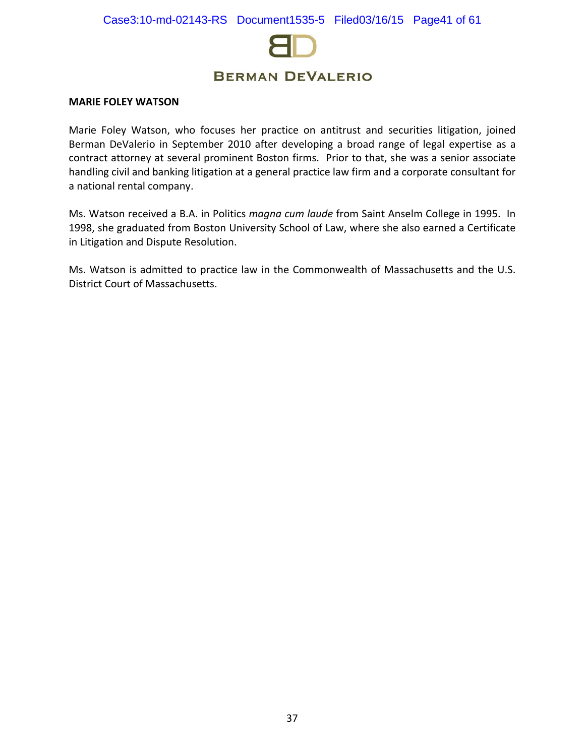

#### **MARIE FOLEY WATSON**

Marie Foley Watson, who focuses her practice on antitrust and securities litigation, joined Berman DeValerio in September 2010 after developing a broad range of legal expertise as a contract attorney at several prominent Boston firms. Prior to that, she was a senior associate handling civil and banking litigation at a general practice law firm and a corporate consultant for a national rental company.

Ms. Watson received a B.A. in Politics *magna cum laude* from Saint Anselm College in 1995. In 1998, she graduated from Boston University School of Law, where she also earned a Certificate in Litigation and Dispute Resolution.

Ms. Watson is admitted to practice law in the Commonwealth of Massachusetts and the U.S. District Court of Massachusetts.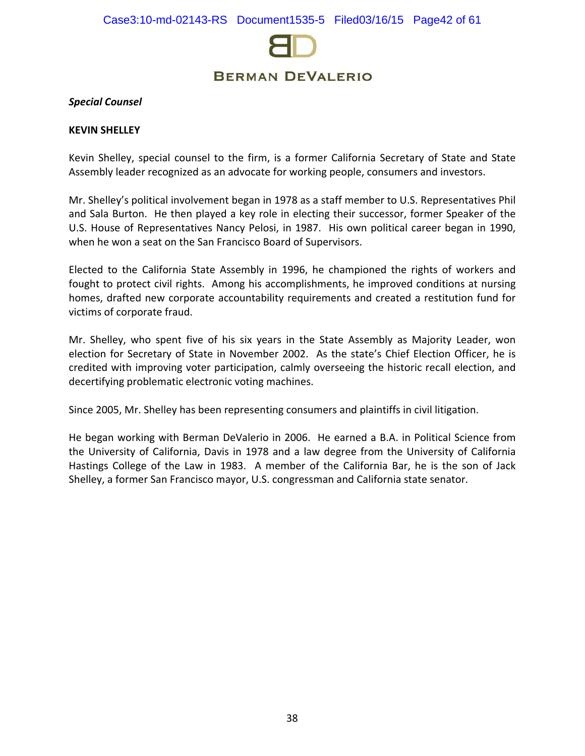

#### *Special Counsel*

#### **KEVIN SHELLEY**

Kevin Shelley, special counsel to the firm, is a former California Secretary of State and State Assembly leader recognized as an advocate for working people, consumers and investors.

Mr. Shelley's political involvement began in 1978 as a staff member to U.S. Representatives Phil and Sala Burton. He then played a key role in electing their successor, former Speaker of the U.S. House of Representatives Nancy Pelosi, in 1987. His own political career began in 1990, when he won a seat on the San Francisco Board of Supervisors.

Elected to the California State Assembly in 1996, he championed the rights of workers and fought to protect civil rights. Among his accomplishments, he improved conditions at nursing homes, drafted new corporate accountability requirements and created a restitution fund for victims of corporate fraud.

Mr. Shelley, who spent five of his six years in the State Assembly as Majority Leader, won election for Secretary of State in November 2002. As the state's Chief Election Officer, he is credited with improving voter participation, calmly overseeing the historic recall election, and decertifying problematic electronic voting machines.

Since 2005, Mr. Shelley has been representing consumers and plaintiffs in civil litigation.

He began working with Berman DeValerio in 2006. He earned a B.A. in Political Science from the University of California, Davis in 1978 and a law degree from the University of California Hastings College of the Law in 1983. A member of the California Bar, he is the son of Jack Shelley, a former San Francisco mayor, U.S. congressman and California state senator.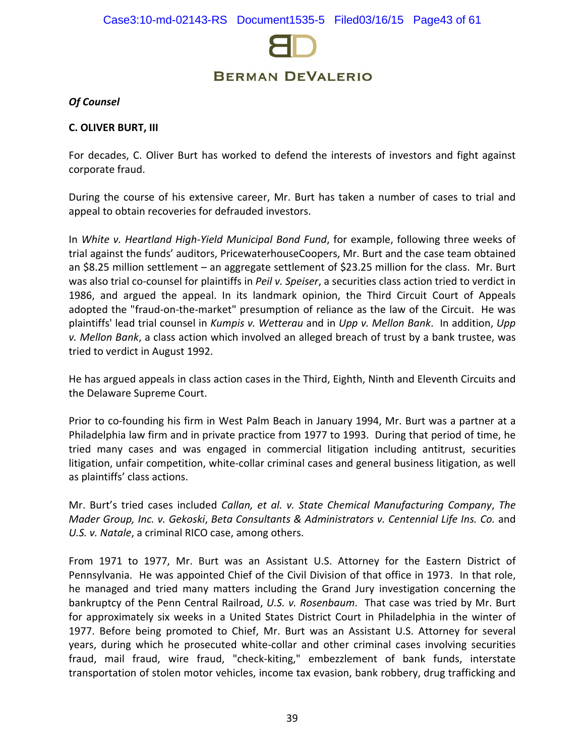

### *Of Counsel*

#### **C. OLIVER BURT, III**

For decades, C. Oliver Burt has worked to defend the interests of investors and fight against corporate fraud.

During the course of his extensive career, Mr. Burt has taken a number of cases to trial and appeal to obtain recoveries for defrauded investors.

In *White v. Heartland High-Yield Municipal Bond Fund*, for example, following three weeks of trial against the funds' auditors, PricewaterhouseCoopers, Mr. Burt and the case team obtained an \$8.25 million settlement – an aggregate settlement of \$23.25 million for the class. Mr. Burt was also trial co-counsel for plaintiffs in *Peil v. Speiser*, a securities class action tried to verdict in 1986, and argued the appeal. In its landmark opinion, the Third Circuit Court of Appeals adopted the "fraud-on-the-market" presumption of reliance as the law of the Circuit. He was plaintiffs' lead trial counsel in *Kumpis v. Wetterau* and in *Upp v. Mellon Bank*. In addition, *Upp v. Mellon Bank*, a class action which involved an alleged breach of trust by a bank trustee, was tried to verdict in August 1992.

He has argued appeals in class action cases in the Third, Eighth, Ninth and Eleventh Circuits and the Delaware Supreme Court.

Prior to co-founding his firm in West Palm Beach in January 1994, Mr. Burt was a partner at a Philadelphia law firm and in private practice from 1977 to 1993. During that period of time, he tried many cases and was engaged in commercial litigation including antitrust, securities litigation, unfair competition, white-collar criminal cases and general business litigation, as well as plaintiffs' class actions.

Mr. Burt's tried cases included *Callan, et al. v. State Chemical Manufacturing Company*, *The Mader Group, Inc. v. Gekoski*, *Beta Consultants & Administrators v. Centennial Life Ins. Co.* and *U.S. v. Natale*, a criminal RICO case, among others.

From 1971 to 1977, Mr. Burt was an Assistant U.S. Attorney for the Eastern District of Pennsylvania. He was appointed Chief of the Civil Division of that office in 1973. In that role, he managed and tried many matters including the Grand Jury investigation concerning the bankruptcy of the Penn Central Railroad, *U.S. v. Rosenbaum*. That case was tried by Mr. Burt for approximately six weeks in a United States District Court in Philadelphia in the winter of 1977. Before being promoted to Chief, Mr. Burt was an Assistant U.S. Attorney for several years, during which he prosecuted white-collar and other criminal cases involving securities fraud, mail fraud, wire fraud, "check-kiting," embezzlement of bank funds, interstate transportation of stolen motor vehicles, income tax evasion, bank robbery, drug trafficking and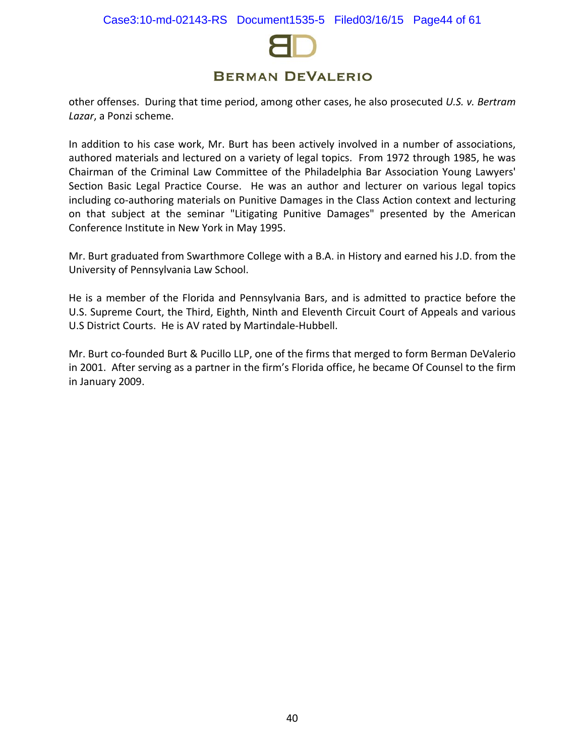

other offenses. During that time period, among other cases, he also prosecuted *U.S. v. Bertram Lazar*, a Ponzi scheme.

In addition to his case work, Mr. Burt has been actively involved in a number of associations, authored materials and lectured on a variety of legal topics. From 1972 through 1985, he was Chairman of the Criminal Law Committee of the Philadelphia Bar Association Young Lawyers' Section Basic Legal Practice Course. He was an author and lecturer on various legal topics including co-authoring materials on Punitive Damages in the Class Action context and lecturing on that subject at the seminar "Litigating Punitive Damages" presented by the American Conference Institute in New York in May 1995.

Mr. Burt graduated from Swarthmore College with a B.A. in History and earned his J.D. from the University of Pennsylvania Law School.

He is a member of the Florida and Pennsylvania Bars, and is admitted to practice before the U.S. Supreme Court, the Third, Eighth, Ninth and Eleventh Circuit Court of Appeals and various U.S District Courts. He is AV rated by Martindale-Hubbell.

Mr. Burt co-founded Burt & Pucillo LLP, one of the firms that merged to form Berman DeValerio in 2001. After serving as a partner in the firm's Florida office, he became Of Counsel to the firm in January 2009.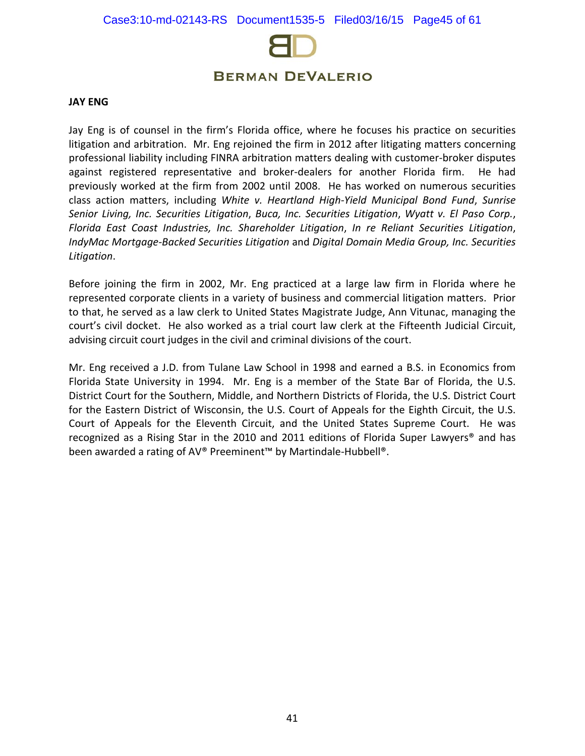

#### **JAY ENG**

Jay Eng is of counsel in the firm's Florida office, where he focuses his practice on securities litigation and arbitration. Mr. Eng rejoined the firm in 2012 after litigating matters concerning professional liability including FINRA arbitration matters dealing with customer-broker disputes against registered representative and broker-dealers for another Florida firm. He had previously worked at the firm from 2002 until 2008. He has worked on numerous securities class action matters, including *White v. Heartland High-Yield Municipal Bond Fund*, *Sunrise Senior Living, Inc. Securities Litigation*, *Buca, Inc. Securities Litigation*, *Wyatt v. El Paso Corp.*, *Florida East Coast Industries, Inc. Shareholder Litigation*, *In re Reliant Securities Litigation*, *IndyMac Mortgage-Backed Securities Litigation* and *Digital Domain Media Group, Inc. Securities Litigation*.

Before joining the firm in 2002, Mr. Eng practiced at a large law firm in Florida where he represented corporate clients in a variety of business and commercial litigation matters. Prior to that, he served as a law clerk to United States Magistrate Judge, Ann Vitunac, managing the court's civil docket. He also worked as a trial court law clerk at the Fifteenth Judicial Circuit, advising circuit court judges in the civil and criminal divisions of the court.

Mr. Eng received a J.D. from Tulane Law School in 1998 and earned a B.S. in Economics from Florida State University in 1994. Mr. Eng is a member of the State Bar of Florida, the U.S. District Court for the Southern, Middle, and Northern Districts of Florida, the U.S. District Court for the Eastern District of Wisconsin, the U.S. Court of Appeals for the Eighth Circuit, the U.S. Court of Appeals for the Eleventh Circuit, and the United States Supreme Court. He was recognized as a Rising Star in the 2010 and 2011 editions of Florida Super Lawyers® and has been awarded a rating of AV® Preeminent™ by Martindale-Hubbell®.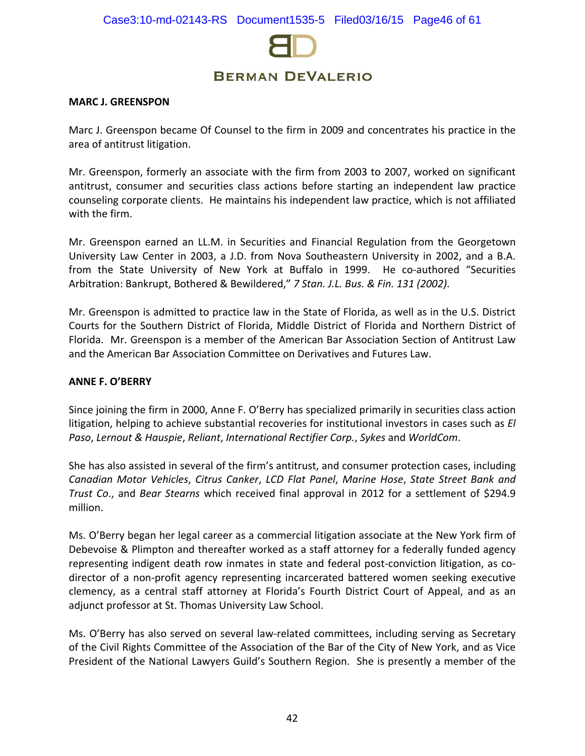

#### **MARC J. GREENSPON**

Marc J. Greenspon became Of Counsel to the firm in 2009 and concentrates his practice in the area of antitrust litigation.

Mr. Greenspon, formerly an associate with the firm from 2003 to 2007, worked on significant antitrust, consumer and securities class actions before starting an independent law practice counseling corporate clients. He maintains his independent law practice, which is not affiliated with the firm.

Mr. Greenspon earned an LL.M. in Securities and Financial Regulation from the Georgetown University Law Center in 2003, a J.D. from Nova Southeastern University in 2002, and a B.A. from the State University of New York at Buffalo in 1999. He co-authored "Securities Arbitration: Bankrupt, Bothered & Bewildered," *7 Stan. J.L. Bus. & Fin. 131 (2002)*.

Mr. Greenspon is admitted to practice law in the State of Florida, as well as in the U.S. District Courts for the Southern District of Florida, Middle District of Florida and Northern District of Florida. Mr. Greenspon is a member of the American Bar Association Section of Antitrust Law and the American Bar Association Committee on Derivatives and Futures Law.

#### **ANNE F. O'BERRY**

Since joining the firm in 2000, Anne F. O'Berry has specialized primarily in securities class action litigation, helping to achieve substantial recoveries for institutional investors in cases such as *[El](http://www.bermanesq.com/Securities/CasePage.asp?caseid=501)  [Paso](http://www.bermanesq.com/Securities/CasePage.asp?caseid=501)*, *Lernout & Hauspie*, *Reliant*, *International Rectifier Corp.*, *Sykes* and *WorldCom*.

She has also assisted in several of the firm's antitrust, and consumer protection cases, including *Canadian Motor Vehicles*, *Citrus Canker*, *LCD Flat Panel*, *Marine Hose*, *State Street Bank and Trust Co*., and *Bear Stearns* which received final approval in 2012 for a settlement of \$294.9 million.

Ms. O'Berry began her legal career as a commercial litigation associate at the New York firm of Debevoise & Plimpton and thereafter worked as a staff attorney for a federally funded agency representing indigent death row inmates in state and federal post-conviction litigation, as codirector of a non-profit agency representing incarcerated battered women seeking executive clemency, as a central staff attorney at Florida's Fourth District Court of Appeal, and as an adjunct professor at St. Thomas University Law School.

Ms. O'Berry has also served on several law-related committees, including serving as Secretary of the Civil Rights Committee of the Association of the Bar of the City of New York, and as Vice President of the National Lawyers Guild's Southern Region. She is presently a member of the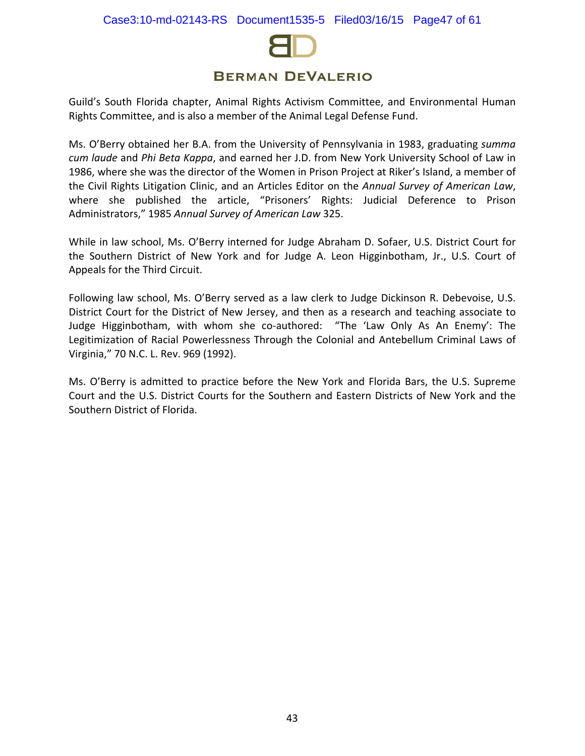

Guild's South Florida chapter, Animal Rights Activism Committee, and Environmental Human Rights Committee, and is also a member of the Animal Legal Defense Fund.

Ms. O'Berry obtained her B.A. from the University of Pennsylvania in 1983, graduating *summa cum laude* and *Phi Beta Kappa*, and earned her J.D. from New York University School of Law in 1986, where she was the director of the Women in Prison Project at Riker's Island, a member of the Civil Rights Litigation Clinic, and an Articles Editor on the *Annual Survey of American Law*, where she published the article, "Prisoners' Rights: Judicial Deference to Prison Administrators," 1985 *Annual Survey of American Law* 325.

While in law school, Ms. O'Berry interned for Judge Abraham D. Sofaer, U.S. District Court for the Southern District of New York and for Judge A. Leon Higginbotham, Jr., U.S. Court of Appeals for the Third Circuit.

Following law school, Ms. O'Berry served as a law clerk to Judge Dickinson R. Debevoise, U.S. District Court for the District of New Jersey, and then as a research and teaching associate to Judge Higginbotham, with whom she co-authored: "The 'Law Only As An Enemy': The Legitimization of Racial Powerlessness Through the Colonial and Antebellum Criminal Laws of Virginia," 70 N.C. L. Rev. 969 (1992).

Ms. O'Berry is admitted to practice before the New York and Florida Bars, the U.S. Supreme Court and the U.S. District Courts for the Southern and Eastern Districts of New York and the Southern District of Florida.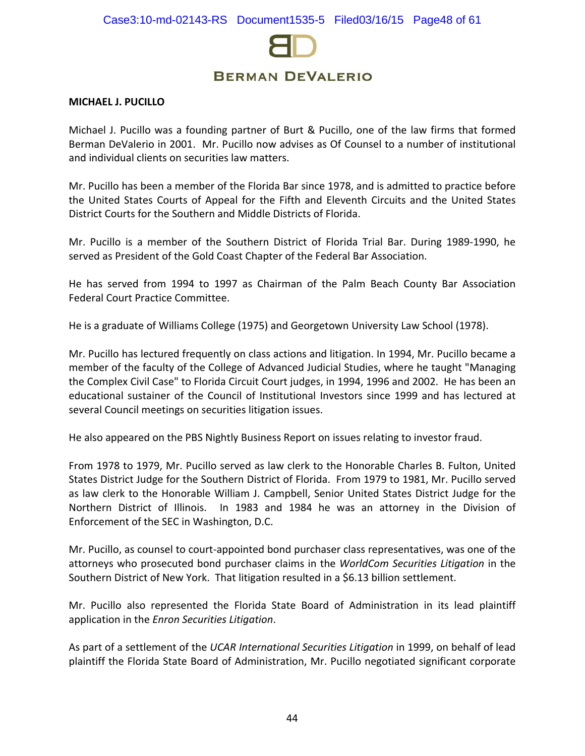

#### **MICHAEL J. PUCILLO**

Michael J. Pucillo was a founding partner of Burt & Pucillo, one of the law firms that formed Berman DeValerio in 2001. Mr. Pucillo now advises as Of Counsel to a number of institutional and individual clients on securities law matters.

Mr. Pucillo has been a member of the Florida Bar since 1978, and is admitted to practice before the United States Courts of Appeal for the Fifth and Eleventh Circuits and the United States District Courts for the Southern and Middle Districts of Florida.

Mr. Pucillo is a member of the Southern District of Florida Trial Bar. During 1989-1990, he served as President of the Gold Coast Chapter of the Federal Bar Association.

He has served from 1994 to 1997 as Chairman of the Palm Beach County Bar Association Federal Court Practice Committee.

He is a graduate of Williams College (1975) and Georgetown University Law School (1978).

Mr. Pucillo has lectured frequently on class actions and litigation. In 1994, Mr. Pucillo became a member of the faculty of the College of Advanced Judicial Studies, where he taught "Managing the Complex Civil Case" to Florida Circuit Court judges, in 1994, 1996 and 2002. He has been an educational sustainer of the Council of Institutional Investors since 1999 and has lectured at several Council meetings on securities litigation issues.

He also appeared on the PBS Nightly Business Report on issues relating to investor fraud.

From 1978 to 1979, Mr. Pucillo served as law clerk to the Honorable Charles B. Fulton, United States District Judge for the Southern District of Florida. From 1979 to 1981, Mr. Pucillo served as law clerk to the Honorable William J. Campbell, Senior United States District Judge for the Northern District of Illinois. In 1983 and 1984 he was an attorney in the Division of Enforcement of the SEC in Washington, D.C.

Mr. Pucillo, as counsel to court-appointed bond purchaser class representatives, was one of the attorneys who prosecuted bond purchaser claims in the *WorldCom Securities Litigation* in the Southern District of New York. That litigation resulted in a \$6.13 billion settlement.

Mr. Pucillo also represented the Florida State Board of Administration in its lead plaintiff application in the *Enron Securities Litigation*.

As part of a settlement of the *UCAR International Securities Litigation* in 1999, on behalf of lead plaintiff the Florida State Board of Administration, Mr. Pucillo negotiated significant corporate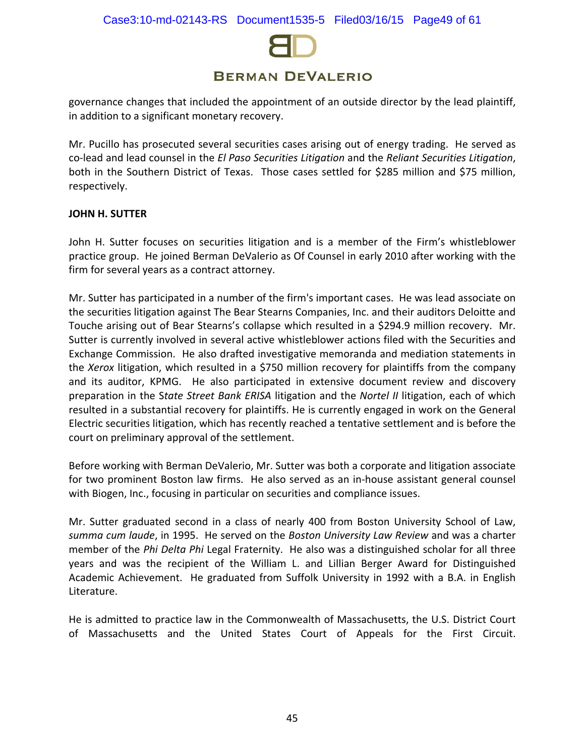

governance changes that included the appointment of an outside director by the lead plaintiff, in addition to a significant monetary recovery.

Mr. Pucillo has prosecuted several securities cases arising out of energy trading. He served as co-lead and lead counsel in the *El Paso Securities Litigation* and the *Reliant Securities Litigation*, both in the Southern District of Texas. Those cases settled for \$285 million and \$75 million, respectively.

#### **JOHN H. SUTTER**

John H. Sutter focuses on securities litigation and is a member of the Firm's whistleblower practice group. He joined Berman DeValerio as Of Counsel in early 2010 after working with the firm for several years as a contract attorney.

Mr. Sutter has participated in a number of the firm's important cases. He was lead associate on the securities litigation against The Bear Stearns Companies, Inc. and their auditors Deloitte and Touche arising out of Bear Stearns's collapse which resulted in a \$294.9 million recovery. Mr. Sutter is currently involved in several active whistleblower actions filed with the Securities and Exchange Commission. He also drafted investigative memoranda and mediation statements in the *Xerox* litigation, which resulted in a \$750 million recovery for plaintiffs from the company and its auditor, KPMG. He also participated in extensive document review and discovery preparation in the S*tate Street Bank ERISA* litigation and the *Nortel II* litigation, each of which resulted in a substantial recovery for plaintiffs. He is currently engaged in work on the General Electric securities litigation, which has recently reached a tentative settlement and is before the court on preliminary approval of the settlement.

Before working with Berman DeValerio, Mr. Sutter was both a corporate and litigation associate for two prominent Boston law firms. He also served as an in-house assistant general counsel with Biogen, Inc., focusing in particular on securities and compliance issues.

Mr. Sutter graduated second in a class of nearly 400 from Boston University School of Law, *summa cum laude*, in 1995. He served on the *Boston University Law Review* and was a charter member of the *Phi Delta Phi* Legal Fraternity. He also was a distinguished scholar for all three years and was the recipient of the William L. and Lillian Berger Award for Distinguished Academic Achievement. He graduated from Suffolk University in 1992 with a B.A. in English Literature.

He is admitted to practice law in the Commonwealth of Massachusetts, the U.S. District Court of Massachusetts and the United States Court of Appeals for the First Circuit.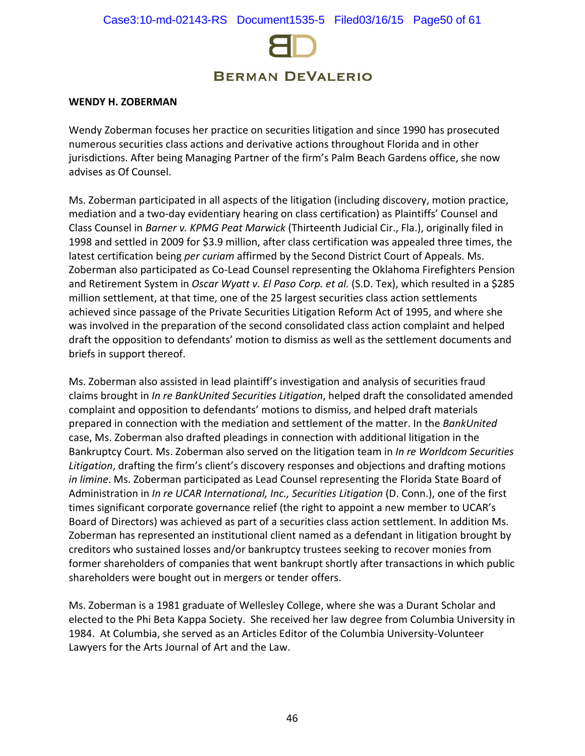

#### **WENDY H. ZOBERMAN**

Wendy Zoberman focuses her practice on securities litigation and since 1990 has prosecuted numerous securities class actions and derivative actions throughout Florida and in other jurisdictions. After being Managing Partner of the firm's Palm Beach Gardens office, she now advises as Of Counsel.

Ms. Zoberman participated in all aspects of the litigation (including discovery, motion practice, mediation and a two-day evidentiary hearing on class certification) as Plaintiffs' Counsel and Class Counsel in *Barner v. KPMG Peat Marwick* (Thirteenth Judicial Cir., Fla.), originally filed in 1998 and settled in 2009 for \$3.9 million, after class certification was appealed three times, the latest certification being *per curiam* affirmed by the Second District Court of Appeals. Ms. Zoberman also participated as Co-Lead Counsel representing the Oklahoma Firefighters Pension and Retirement System in *Oscar Wyatt v. El Paso Corp. et al.* (S.D. Tex), which resulted in a \$285 million settlement, at that time, one of the 25 largest securities class action settlements achieved since passage of the Private Securities Litigation Reform Act of 1995, and where she was involved in the preparation of the second consolidated class action complaint and helped draft the opposition to defendants' motion to dismiss as well as the settlement documents and briefs in support thereof.

Ms. Zoberman also assisted in lead plaintiff's investigation and analysis of securities fraud claims brought in *In re BankUnited Securities Litigation*, helped draft the consolidated amended complaint and opposition to defendants' motions to dismiss, and helped draft materials prepared in connection with the mediation and settlement of the matter. In the *BankUnited* case, Ms. Zoberman also drafted pleadings in connection with additional litigation in the Bankruptcy Court. Ms. Zoberman also served on the litigation team in *In re Worldcom Securities Litigation*, drafting the firm's client's discovery responses and objections and drafting motions *in limine*. Ms. Zoberman participated as Lead Counsel representing the Florida State Board of Administration in *In re UCAR International, Inc., Securities Litigation* (D. Conn.), one of the first times significant corporate governance relief (the right to appoint a new member to UCAR's Board of Directors) was achieved as part of a securities class action settlement. In addition Ms. Zoberman has represented an institutional client named as a defendant in litigation brought by creditors who sustained losses and/or bankruptcy trustees seeking to recover monies from former shareholders of companies that went bankrupt shortly after transactions in which public shareholders were bought out in mergers or tender offers.

Ms. Zoberman is a 1981 graduate of Wellesley College, where she was a Durant Scholar and elected to the Phi Beta Kappa Society. She received her law degree from Columbia University in 1984. At Columbia, she served as an Articles Editor of the Columbia University-Volunteer Lawyers for the Arts Journal of Art and the Law.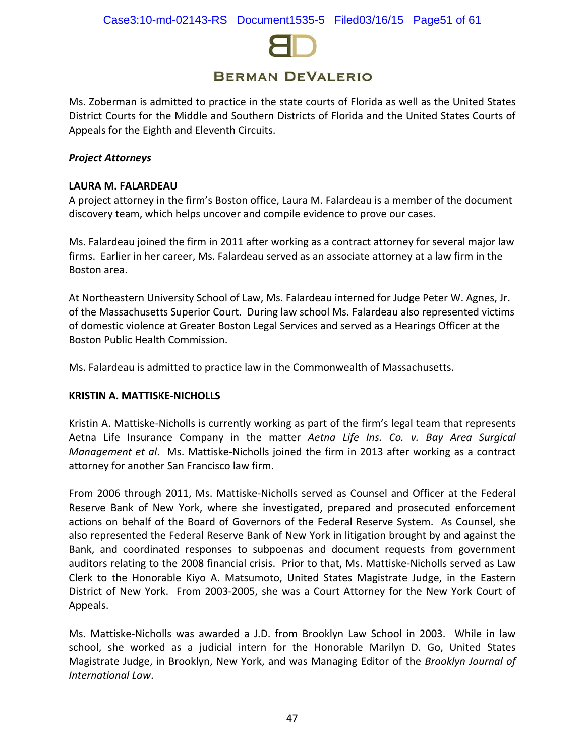

Ms. Zoberman is admitted to practice in the state courts of Florida as well as the United States District Courts for the Middle and Southern Districts of Florida and the United States Courts of Appeals for the Eighth and Eleventh Circuits.

### *Project Attorneys*

### **LAURA M. FALARDEAU**

A project attorney in the firm's Boston office, Laura M. Falardeau is a member of the document discovery team, which helps uncover and compile evidence to prove our cases.

Ms. Falardeau joined the firm in 2011 after working as a contract attorney for several major law firms. Earlier in her career, Ms. Falardeau served as an associate attorney at a law firm in the Boston area.

At Northeastern University School of Law, Ms. Falardeau interned for Judge Peter W. Agnes, Jr. of the Massachusetts Superior Court. During law school Ms. Falardeau also represented victims of domestic violence at Greater Boston Legal Services and served as a Hearings Officer at the Boston Public Health Commission.

Ms. Falardeau is admitted to practice law in the Commonwealth of Massachusetts.

#### **KRISTIN A. MATTISKE-NICHOLLS**

Kristin A. Mattiske-Nicholls is currently working as part of the firm's legal team that represents Aetna Life Insurance Company in the matter *Aetna Life Ins. Co. v. Bay Area Surgical Management et al*. Ms. Mattiske-Nicholls joined the firm in 2013 after working as a contract attorney for another San Francisco law firm.

From 2006 through 2011, Ms. Mattiske-Nicholls served as Counsel and Officer at the Federal Reserve Bank of New York, where she investigated, prepared and prosecuted enforcement actions on behalf of the Board of Governors of the Federal Reserve System. As Counsel, she also represented the Federal Reserve Bank of New York in litigation brought by and against the Bank, and coordinated responses to subpoenas and document requests from government auditors relating to the 2008 financial crisis. Prior to that, Ms. Mattiske-Nicholls served as Law Clerk to the Honorable Kiyo A. Matsumoto, United States Magistrate Judge, in the Eastern District of New York. From 2003-2005, she was a Court Attorney for the New York Court of Appeals.

Ms. Mattiske-Nicholls was awarded a J.D. from Brooklyn Law School in 2003. While in law school, she worked as a judicial intern for the Honorable Marilyn D. Go, United States Magistrate Judge, in Brooklyn, New York, and was Managing Editor of the *Brooklyn Journal of International Law*.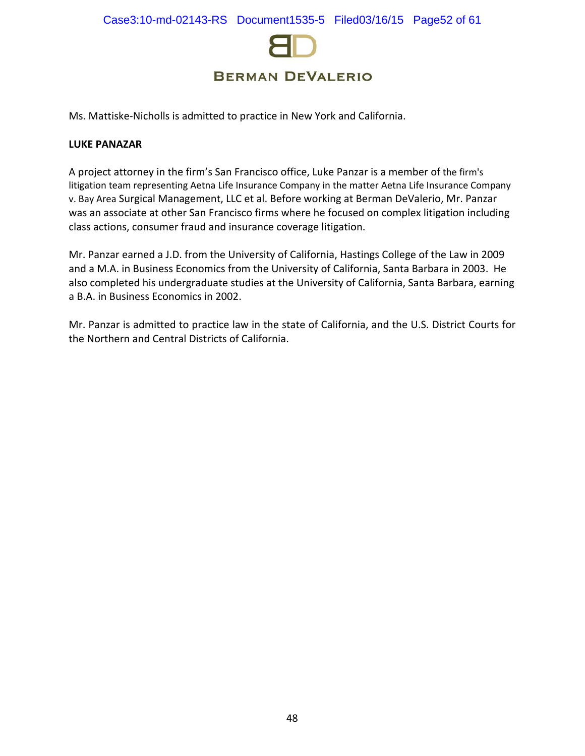

Ms. Mattiske-Nicholls is admitted to practice in New York and California.

#### **LUKE PANAZAR**

A project attorney in the firm's San Francisco office, Luke Panzar is a member of the firm's litigation team representing Aetna Life Insurance Company in the matter Aetna Life Insurance Company v. Bay Area Surgical Management, LLC et al. Before working at Berman DeValerio, Mr. Panzar was an associate at other San Francisco firms where he focused on complex litigation including class actions, consumer fraud and insurance coverage litigation.

Mr. Panzar earned a J.D. from the University of California, Hastings College of the Law in 2009 and a M.A. in Business Economics from the University of California, Santa Barbara in 2003. He also completed his undergraduate studies at the University of California, Santa Barbara, earning a B.A. in Business Economics in 2002.

Mr. Panzar is admitted to practice law in the state of California, and the U.S. District Courts for the Northern and Central Districts of California.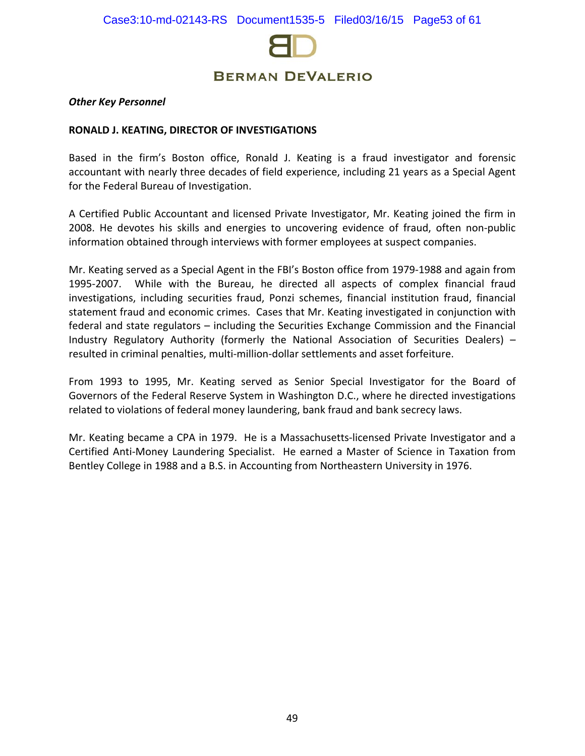

#### *Other Key Personnel*

#### **RONALD J. KEATING, DIRECTOR OF INVESTIGATIONS**

Based in the firm's Boston office, Ronald J. Keating is a fraud investigator and forensic accountant with nearly three decades of field experience, including 21 years as a Special Agent for the Federal Bureau of Investigation.

A Certified Public Accountant and licensed Private Investigator, Mr. Keating joined the firm in 2008. He devotes his skills and energies to uncovering evidence of fraud, often non-public information obtained through interviews with former employees at suspect companies.

Mr. Keating served as a Special Agent in the FBI's Boston office from 1979-1988 and again from 1995-2007. While with the Bureau, he directed all aspects of complex financial fraud investigations, including securities fraud, Ponzi schemes, financial institution fraud, financial statement fraud and economic crimes. Cases that Mr. Keating investigated in conjunction with federal and state regulators – including the Securities Exchange Commission and the Financial Industry Regulatory Authority (formerly the National Association of Securities Dealers) – resulted in criminal penalties, multi-million-dollar settlements and asset forfeiture.

From 1993 to 1995, Mr. Keating served as Senior Special Investigator for the Board of Governors of the Federal Reserve System in Washington D.C., where he directed investigations related to violations of federal money laundering, bank fraud and bank secrecy laws.

Mr. Keating became a CPA in 1979. He is a Massachusetts-licensed Private Investigator and a Certified Anti-Money Laundering Specialist. He earned a Master of Science in Taxation from Bentley College in 1988 and a B.S. in Accounting from Northeastern University in 1976.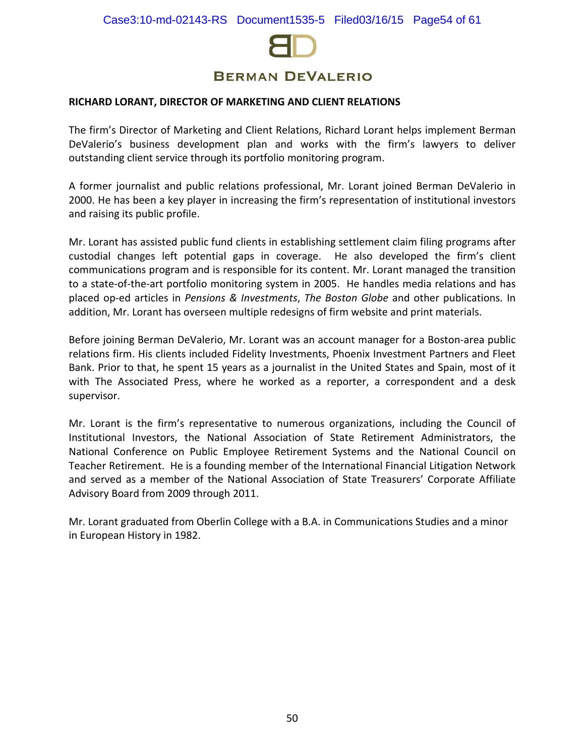

#### **RICHARD LORANT, DIRECTOR OF MARKETING AND CLIENT RELATIONS**

The firm's Director of Marketing and Client Relations, Richard Lorant helps implement Berman DeValerio's business development plan and works with the firm's lawyers to deliver outstanding client service through its portfolio monitoring program.

A former journalist and public relations professional, Mr. Lorant joined Berman DeValerio in 2000. He has been a key player in increasing the firm's representation of institutional investors and raising its public profile.

Mr. Lorant has assisted public fund clients in establishing settlement claim filing programs after custodial changes left potential gaps in coverage. He also developed the firm's client communications program and is responsible for its content. Mr. Lorant managed the transition to a state-of-the-art portfolio monitoring system in 2005. He handles media relations and has placed op-ed articles in *Pensions & Investments*, *The Boston Globe* and other publications. In addition, Mr. Lorant has overseen multiple redesigns of firm website and print materials.

Before joining Berman DeValerio, Mr. Lorant was an account manager for a Boston-area public relations firm. His clients included Fidelity Investments, Phoenix Investment Partners and Fleet Bank. Prior to that, he spent 15 years as a journalist in the United States and Spain, most of it with The Associated Press, where he worked as a reporter, a correspondent and a desk supervisor.

Mr. Lorant is the firm's representative to numerous organizations, including the Council of Institutional Investors, the National Association of State Retirement Administrators, the National Conference on Public Employee Retirement Systems and the National Council on Teacher Retirement. He is a founding member of the International Financial Litigation Network and served as a member of the National Association of State Treasurers' Corporate Affiliate Advisory Board from 2009 through 2011.

Mr. Lorant graduated from Oberlin College with a B.A. in Communications Studies and a minor in European History in 1982.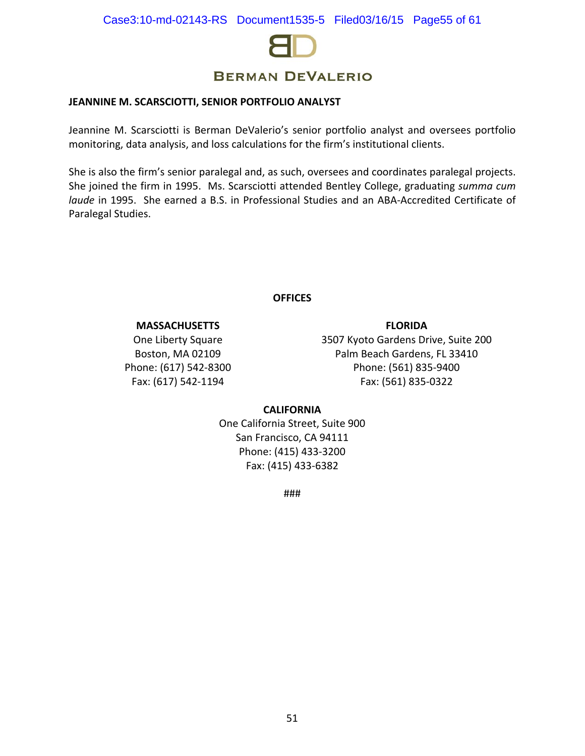

#### **JEANNINE M. SCARSCIOTTI, SENIOR PORTFOLIO ANALYST**

Jeannine M. Scarsciotti is Berman DeValerio's senior portfolio analyst and oversees portfolio monitoring, data analysis, and loss calculations for the firm's institutional clients.

She is also the firm's senior paralegal and, as such, oversees and coordinates paralegal projects. She joined the firm in 1995. Ms. Scarsciotti attended Bentley College, graduating *summa cum laude* in 1995. She earned a B.S. in Professional Studies and an ABA-Accredited Certificate of Paralegal Studies.

## **OFFICES**

#### **MASSACHUSETTS**

One Liberty Square Boston, MA 02109 Phone: (617) 542-8300 Fax: (617) 542-1194

3507 Kyoto Gardens Drive, Suite 200 Palm Beach Gardens, FL 33410 Phone: (561) 835-9400 Fax: (561) 835-0322

**FLORIDA**

#### **CALIFORNIA**

One California Street, Suite 900 San Francisco, CA 94111 Phone: (415) 433-3200 Fax: (415) 433-6382

###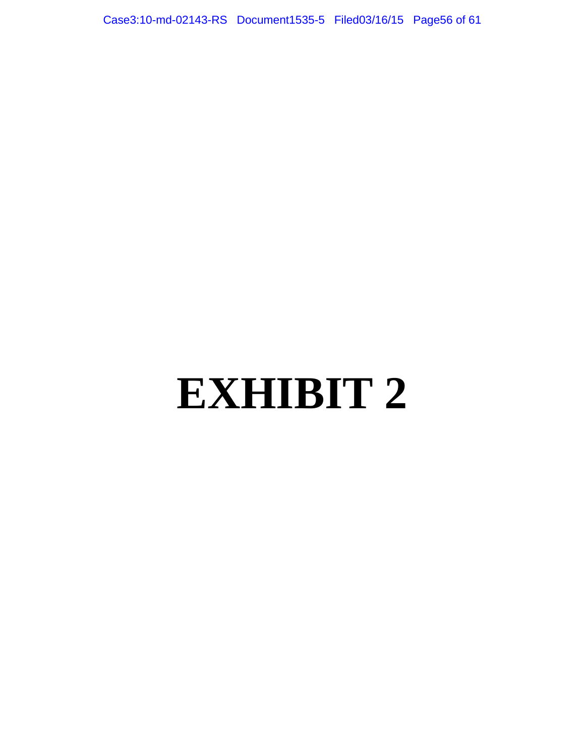Case3:10-md-02143-RS Document1535-5 Filed03/16/15 Page56 of 61

# **EXHIBIT 2**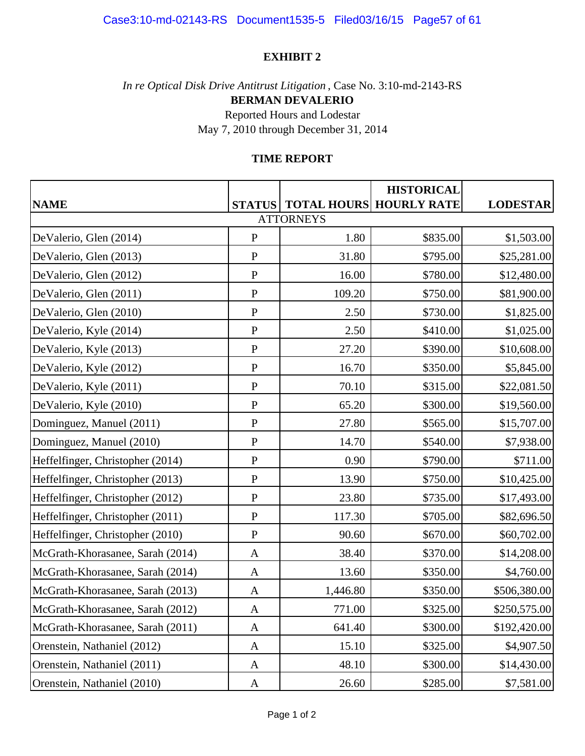## **EXHIBIT 2**

*In re Optical Disk Drive Antitrust Litigation* , Case No. 3:10-md-2143-RS **BERMAN DEVALERIO**

> Reported Hours and Lodestar May 7, 2010 through December 31, 2014

## **TIME REPORT**

|                                  |              |          | <b>HISTORICAL</b>                       |                 |  |  |
|----------------------------------|--------------|----------|-----------------------------------------|-----------------|--|--|
| <b>NAME</b>                      |              |          | <b>STATUS   TOTAL HOURS HOURLY RATE</b> | <b>LODESTAR</b> |  |  |
| <b>ATTORNEYS</b>                 |              |          |                                         |                 |  |  |
| DeValerio, Glen (2014)           | ${\bf P}$    | 1.80     | \$835.00                                | \$1,503.00      |  |  |
| DeValerio, Glen (2013)           | $\mathbf{P}$ | 31.80    | \$795.00                                | \$25,281.00     |  |  |
| DeValerio, Glen (2012)           | ${\bf P}$    | 16.00    | \$780.00                                | \$12,480.00     |  |  |
| DeValerio, Glen (2011)           | ${\bf P}$    | 109.20   | \$750.00                                | \$81,900.00     |  |  |
| DeValerio, Glen (2010)           | ${\bf P}$    | 2.50     | \$730.00                                | \$1,825.00      |  |  |
| DeValerio, Kyle (2014)           | ${\bf P}$    | 2.50     | \$410.00                                | \$1,025.00      |  |  |
| DeValerio, Kyle (2013)           | ${\bf P}$    | 27.20    | \$390.00                                | \$10,608.00     |  |  |
| DeValerio, Kyle (2012)           | ${\bf P}$    | 16.70    | \$350.00                                | \$5,845.00      |  |  |
| DeValerio, Kyle (2011)           | ${\bf P}$    | 70.10    | \$315.00                                | \$22,081.50     |  |  |
| DeValerio, Kyle (2010)           | ${\bf P}$    | 65.20    | \$300.00                                | \$19,560.00     |  |  |
| Dominguez, Manuel (2011)         | ${\bf P}$    | 27.80    | \$565.00                                | \$15,707.00     |  |  |
| Dominguez, Manuel (2010)         | ${\bf P}$    | 14.70    | \$540.00                                | \$7,938.00      |  |  |
| Heffelfinger, Christopher (2014) | ${\bf P}$    | 0.90     | \$790.00                                | \$711.00        |  |  |
| Heffelfinger, Christopher (2013) | ${\bf P}$    | 13.90    | \$750.00                                | \$10,425.00     |  |  |
| Heffelfinger, Christopher (2012) | ${\bf P}$    | 23.80    | \$735.00                                | \$17,493.00     |  |  |
| Heffelfinger, Christopher (2011) | ${\bf P}$    | 117.30   | \$705.00                                | \$82,696.50     |  |  |
| Heffelfinger, Christopher (2010) | ${\bf P}$    | 90.60    | \$670.00                                | \$60,702.00     |  |  |
| McGrath-Khorasanee, Sarah (2014) | A            | 38.40    | \$370.00                                | \$14,208.00     |  |  |
| McGrath-Khorasanee, Sarah (2014) | A            | 13.60    | \$350.00                                | \$4,760.00      |  |  |
| McGrath-Khorasanee, Sarah (2013) | $\mathbf{A}$ | 1,446.80 | \$350.00                                | \$506,380.00    |  |  |
| McGrath-Khorasanee, Sarah (2012) | A            | 771.00   | \$325.00                                | \$250,575.00    |  |  |
| McGrath-Khorasanee, Sarah (2011) | A            | 641.40   | \$300.00                                | \$192,420.00    |  |  |
| Orenstein, Nathaniel (2012)      | A            | 15.10    | \$325.00                                | \$4,907.50      |  |  |
| Orenstein, Nathaniel (2011)      | A            | 48.10    | \$300.00                                | \$14,430.00     |  |  |
| Orenstein, Nathaniel (2010)      | $\mathbf{A}$ | 26.60    | \$285.00                                | \$7,581.00      |  |  |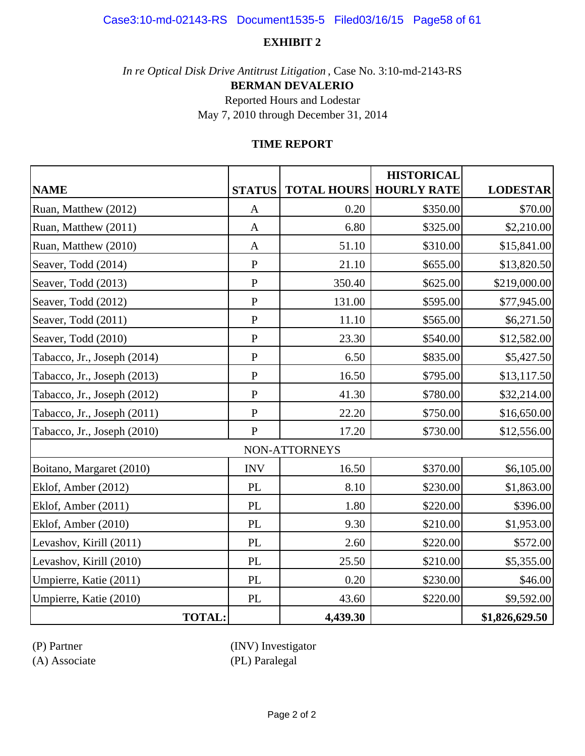## Case3:10-md-02143-RS Document1535-5 Filed03/16/15 Page58 of 61

## **EXHIBIT 2**

*In re Optical Disk Drive Antitrust Litigation* , Case No. 3:10-md-2143-RS

**BERMAN DEVALERIO**

Reported Hours and Lodestar May 7, 2010 through December 31, 2014

## **TIME REPORT**

|                             |                                 |               | <b>HISTORICAL</b>              |                 |
|-----------------------------|---------------------------------|---------------|--------------------------------|-----------------|
| <b>NAME</b>                 | <b>STATUS</b>                   |               | <b>TOTAL HOURS HOURLY RATE</b> | <b>LODESTAR</b> |
| Ruan, Matthew (2012)        | $\mathbf{A}$                    | 0.20          | \$350.00                       | \$70.00         |
| Ruan, Matthew (2011)        | $\mathbf{A}$                    | 6.80          | \$325.00                       | \$2,210.00      |
| Ruan, Matthew (2010)        | $\mathbf{A}$                    | 51.10         | \$310.00                       | \$15,841.00     |
| Seaver, Todd (2014)         | ${\bf P}$                       | 21.10         | \$655.00                       | \$13,820.50     |
| Seaver, Todd (2013)         | ${\bf P}$                       | 350.40        | \$625.00                       | \$219,000.00    |
| Seaver, Todd (2012)         | ${\bf P}$                       | 131.00        | \$595.00                       | \$77,945.00     |
| Seaver, Todd (2011)         | ${\bf P}$                       | 11.10         | \$565.00                       | \$6,271.50      |
| Seaver, Todd (2010)         | ${\bf P}$                       | 23.30         | \$540.00                       | \$12,582.00     |
| Tabacco, Jr., Joseph (2014) | ${\bf P}$                       | 6.50          | \$835.00                       | \$5,427.50      |
| Tabacco, Jr., Joseph (2013) | ${\bf P}$                       | 16.50         | \$795.00                       | \$13,117.50     |
| Tabacco, Jr., Joseph (2012) | ${\bf P}$                       | 41.30         | \$780.00                       | \$32,214.00     |
| Tabacco, Jr., Joseph (2011) | ${\bf P}$                       | 22.20         | \$750.00                       | \$16,650.00     |
| Tabacco, Jr., Joseph (2010) | $\mathbf{P}$                    | 17.20         | \$730.00                       | \$12,556.00     |
|                             |                                 | NON-ATTORNEYS |                                |                 |
| Boitano, Margaret (2010)    | <b>INV</b>                      | 16.50         | \$370.00                       | \$6,105.00      |
| Eklof, Amber (2012)         | PL                              | 8.10          | \$230.00                       | \$1,863.00      |
| Eklof, Amber (2011)         | PL                              | 1.80          | \$220.00                       | \$396.00        |
| Eklof, Amber (2010)         | PL                              | 9.30          | \$210.00                       | \$1,953.00      |
| Levashov, Kirill (2011)     | $\ensuremath{\text{PL}}\xspace$ | 2.60          | \$220.00                       | \$572.00        |
| Levashov, Kirill (2010)     | PL                              | 25.50         | \$210.00                       | \$5,355.00      |
| Umpierre, Katie (2011)      | PL                              | 0.20          | \$230.00                       | \$46.00         |
| Umpierre, Katie (2010)      | $\ensuremath{\text{PL}}\xspace$ | 43.60         | \$220.00                       | \$9,592.00      |
| <b>TOTAL:</b>               |                                 | 4,439.30      |                                | \$1,826,629.50  |

(P) Partner (INV) Investigator

(A) Associate (PL) Paralegal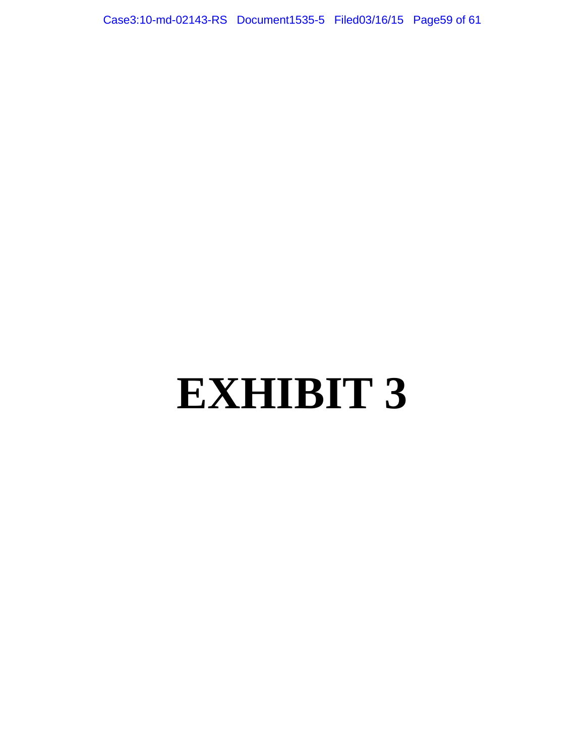Case3:10-md-02143-RS Document1535-5 Filed03/16/15 Page59 of 61

# **EXHIBIT 3**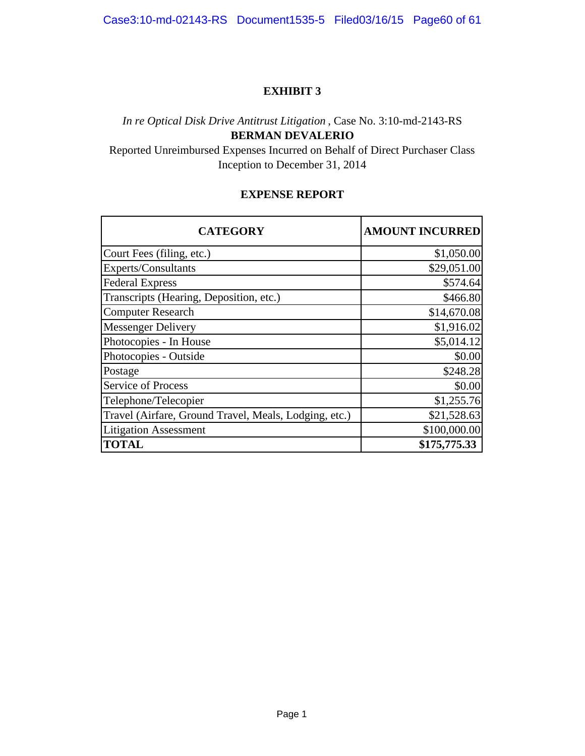Case3:10-md-02143-RS Document1535-5 Filed03/16/15 Page60 of 61

## **EXHIBIT 3**

# *In re Optical Disk Drive Antitrust Litigation* , Case No. 3:10-md-2143-RS **BERMAN DEVALERIO**

Reported Unreimbursed Expenses Incurred on Behalf of Direct Purchaser Class Inception to December 31, 2014

## **EXPENSE REPORT**

| <b>CATEGORY</b>                                       | <b>AMOUNT INCURRED</b> |
|-------------------------------------------------------|------------------------|
| Court Fees (filing, etc.)                             | \$1,050.00             |
| Experts/Consultants                                   | \$29,051.00            |
| <b>Federal Express</b>                                | \$574.64               |
| Transcripts (Hearing, Deposition, etc.)               | \$466.80               |
| <b>Computer Research</b>                              | \$14,670.08            |
| <b>Messenger Delivery</b>                             | \$1,916.02             |
| Photocopies - In House                                | \$5,014.12             |
| Photocopies - Outside                                 | \$0.00                 |
| Postage                                               | \$248.28               |
| <b>Service of Process</b>                             | \$0.00                 |
| Telephone/Telecopier                                  | \$1,255.76             |
| Travel (Airfare, Ground Travel, Meals, Lodging, etc.) | \$21,528.63            |
| <b>Litigation Assessment</b>                          | \$100,000.00           |
| <b>TOTAL</b>                                          | \$175,775.33           |